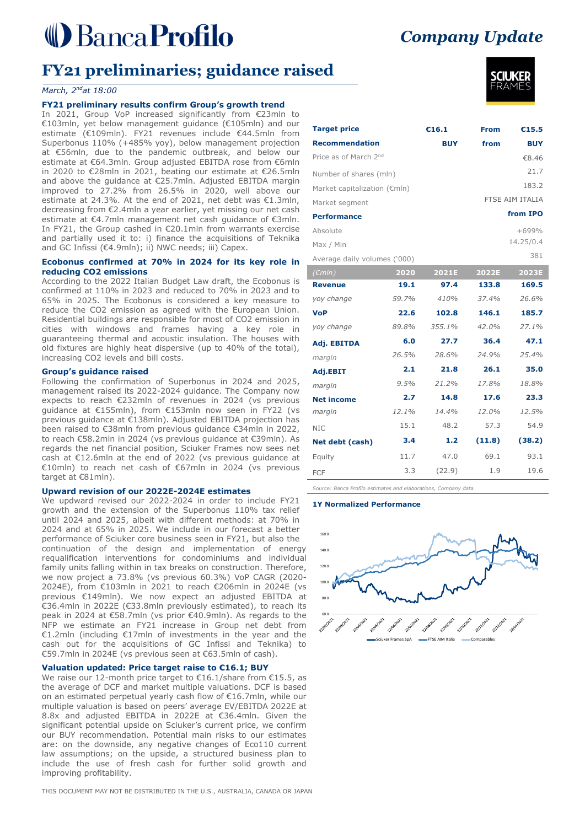# **FY21 preliminaries; guidance raised**

### *March, 2 ndat 18:00*

### **FY21 preliminary results confirm Group's growth trend**

In 2021, Group VoP increased significantly from €23mln to €103mln, yet below management guidance (€105mln) and our estimate (€109mln). FY21 revenues include €44.5mln from Superbonus 110% (+485% yoy), below management projection at €56mln, due to the pandemic outbreak, and below our estimate at €64.3mln. Group adjusted EBITDA rose from €6mln in 2020 to €28mln in 2021, beating our estimate at €26.5mln and above the guidance at €25.7mln. Adjusted EBITDA margin improved to 27.2% from 26.5% in 2020, well above our estimate at 24.3%. At the end of 2021, net debt was €1.3mln, decreasing from €2.4mln a year earlier, yet missing our net cash estimate at €4.7mln management net cash guidance of €3mln. In FY21, the Group cashed in €20.1mln from warrants exercise and partially used it to: i) finance the acquisitions of Teknika and GC Infissi (€4.9mln); ii) NWC needs; iii) Capex.

### **Ecobonus confirmed at 70% in 2024 for its key role in reducing CO2 emissions**

According to the 2022 Italian Budget Law draft, the Ecobonus is confirmed at 110% in 2023 and reduced to 70% in 2023 and to 65% in 2025. The Ecobonus is considered a key measure to reduce the CO2 emission as agreed with the European Union. Residential buildings are responsible for most of CO2 emission in cities with windows and frames having a key role in guaranteeing thermal and acoustic insulation. The houses with old fixtures are highly heat dispersive (up to 40% of the total), increasing CO2 levels and bill costs.

### **Group's guidance raised**

Following the confirmation of Superbonus in 2024 and 2025, management raised its 2022-2024 guidance. The Company now expects to reach €232mln of revenues in 2024 (vs previous guidance at €155mln), from €153mln now seen in FY22 (vs previous guidance at €138mln). Adjusted EBITDA projection has been raised to €38mln from previous guidance €34mln in 2022, to reach €58.2mln in 2024 (vs previous guidance at €39mln). As regards the net financial position, Sciuker Frames now sees net cash at €12.6mln at the end of 2022 (vs previous guidance at €10mln) to reach net cash of €67mln in 2024 (vs previous target at €81mln).

### **Upward revision of our 2022E-2024E estimates**

We updward revised our 2022-2024 in order to include FY21 growth and the extension of the Superbonus 110% tax relief until 2024 and 2025, albeit with different methods: at 70% in 2024 and at 65% in 2025. We include in our forecast a better performance of Sciuker core business seen in FY21, but also the continuation of the design and implementation of energy requalification interventions for condominiums and individual family units falling within in tax breaks on construction. Therefore, we now project a 73.8% (vs previous 60.3%) VoP CAGR (2020- 2024E), from €103mln in 2021 to reach €206mln in 2024E (vs previous €149mln). We now expect an adjusted EBITDA at €36.4mln in 2022E (€33.8mln previously estimated), to reach its peak in 2024 at €58.7mln (vs prior €40.9mln). As regards to the NFP we estimate an FY21 increase in Group net debt from €1.2mln (including €17mln of investments in the year and the cash out for the acquisitions of GC Infissi and Teknika) to €59.7mln in 2024E (vs previous seen at €63.5mln of cash).

### **Valuation updated: Price target raise to €16.1; BUY**

We raise our 12-month price target to €16.1/share from €15.5, as the average of DCF and market multiple valuations. DCF is based on an estimated perpetual yearly cash flow of €16.7mln, while our multiple valuation is based on peers' average EV/EBITDA 2022E at 8.8x and adjusted EBITDA in 2022E at €36.4mln. Given the significant potential upside on Sciuker's current price, we confirm our BUY recommendation. Potential main risks to our estimates are: on the downside, any negative changes of Eco110 current law assumptions; on the upside, a structured business plan to include the use of fresh cash for further solid growth and improving profitability.



| Absolute                     |       |        |        | $+699%$   |
|------------------------------|-------|--------|--------|-----------|
| Max / Min                    |       |        |        | 14.25/0.4 |
| Average daily volumes ('000) |       |        |        | 381       |
| $(\epsilon m/n)$             | 2020  | 2021E  | 2022E  | 2023E     |
| <b>Revenue</b>               | 19.1  | 97.4   | 133.8  | 169.5     |
| yoy change                   | 59.7% | 410%   | 37.4%  | 26.6%     |
| <b>VoP</b>                   | 22.6  | 102.8  | 146.1  | 185.7     |
| yoy change                   | 89.8% | 355.1% | 42.0%  | 27.1%     |
| Adj. EBITDA                  | 6.0   | 27.7   | 36.4   | 47.1      |
| margin                       | 26.5% | 28.6%  | 24.9%  | 25.4%     |
| Adj.EBIT                     | 2.1   | 21.8   | 26.1   | 35.0      |
| margin                       | 9.5%  | 21.2%  | 17.8%  | 18.8%     |
| <b>Net income</b>            | 2.7   | 14.8   | 17.6   | 23.3      |
| margin                       | 12.1% | 14.4%  | 12.0%  | 12.5%     |
| <b>NIC</b>                   | 15.1  | 48.2   | 57.3   | 54.9      |
| Net debt (cash)              | 3.4   | 1.2    | (11.8) | (38.2)    |
| Equity                       | 11.7  | 47.0   | 69.1   | 93.1      |
| <b>FCF</b>                   | 3.3   | (22.9) | 1.9    | 19.6      |

**Target price €16.1 From €15.5 Recommendation BUY from BUY** Price as of March  $2^{nd}$   $\epsilon$ 8.46 Number of shares (mln) **1** 21.7 Market capitalization (€mln) 183.2

*Source: Banca Profilo estimates and elaborations, Company data.*

**1Y Normalized Performance**

Market segment



# *Company Update*



FTSE AIM ITALIA

THIS DOCUMENT MAY NOT BE DISTRIBUTED IN THE U.S., AUSTRALIA, CANADA OR JAPAN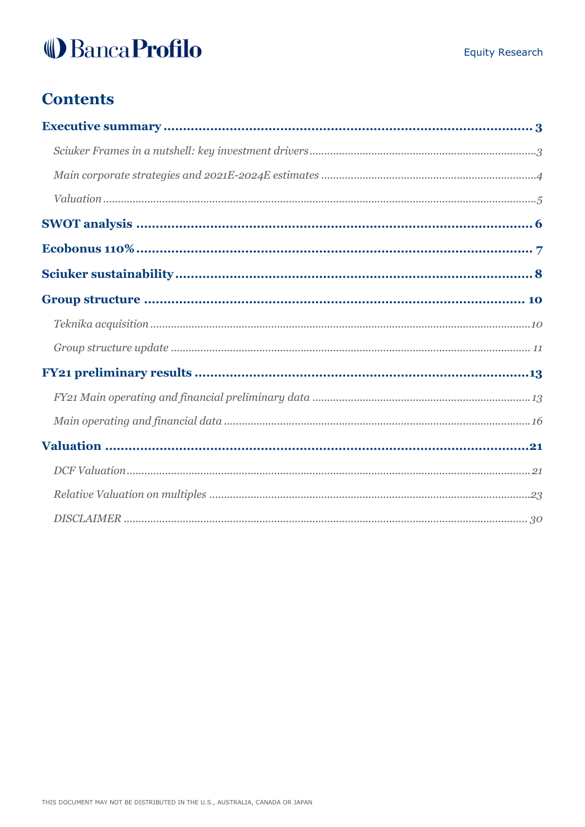# **Contents**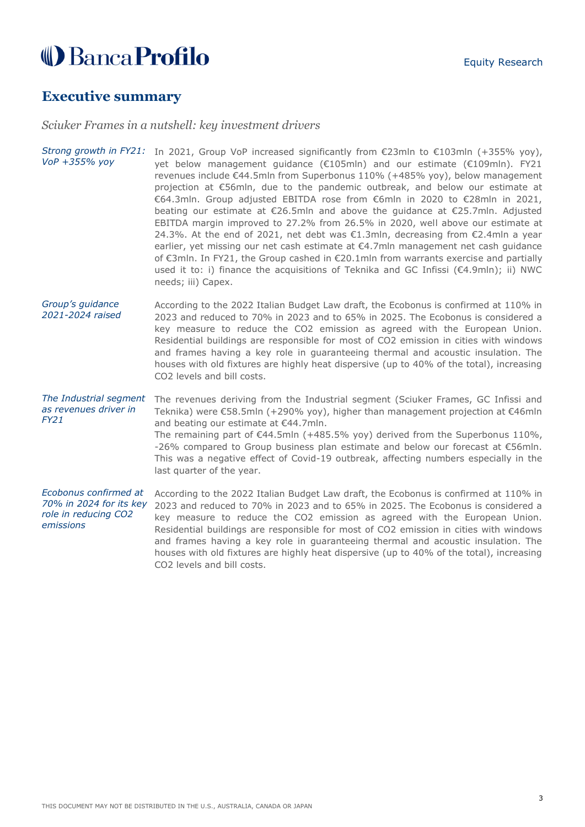# <span id="page-2-0"></span>**Executive summary**

### <span id="page-2-1"></span>*Sciuker Frames in a nutshell: key investment drivers*

*Strong growth in FY21:*  In 2021, Group VoP increased significantly from €23mln to €103mln (+355% yoy), *VoP +355% yoy* yet below management guidance (€105mln) and our estimate (€109mln). FY21 revenues include €44.5mln from Superbonus 110% (+485% yoy), below management projection at €56mln, due to the pandemic outbreak, and below our estimate at €64.3mln. Group adjusted EBITDA rose from €6mln in 2020 to €28mln in 2021, beating our estimate at  $\epsilon$ 26.5mln and above the guidance at  $\epsilon$ 25.7mln. Adjusted EBITDA margin improved to 27.2% from 26.5% in 2020, well above our estimate at 24.3%. At the end of 2021, net debt was  $\epsilon$ 1.3mln, decreasing from  $\epsilon$ 2.4mln a year earlier, yet missing our net cash estimate at €4.7mln management net cash guidance of €3mln. In FY21, the Group cashed in €20.1mln from warrants exercise and partially used it to: i) finance the acquisitions of Teknika and GC Infissi ( $\epsilon$ 4.9mln); ii) NWC needs; iii) Capex.

*Group's guidance 2021-2024 raised* According to the 2022 Italian Budget Law draft, the Ecobonus is confirmed at 110% in 2023 and reduced to 70% in 2023 and to 65% in 2025. The Ecobonus is considered a key measure to reduce the CO2 emission as agreed with the European Union. Residential buildings are responsible for most of CO2 emission in cities with windows and frames having a key role in guaranteeing thermal and acoustic insulation. The houses with old fixtures are highly heat dispersive (up to 40% of the total), increasing CO2 levels and bill costs.

*The Industrial segment as revenues driver in FY21* The revenues deriving from the Industrial segment (Sciuker Frames, GC Infissi and Teknika) were €58.5mln (+290% yoy), higher than management projection at €46mln and beating our estimate at €44.7mln.

The remaining part of €44.5mln (+485.5% yoy) derived from the Superbonus 110%, -26% compared to Group business plan estimate and below our forecast at €56mln. This was a negative effect of Covid-19 outbreak, affecting numbers especially in the last quarter of the year.

*Ecobonus confirmed at 70% in 2024 for its key role in reducing CO2 emissions* According to the 2022 Italian Budget Law draft, the Ecobonus is confirmed at 110% in 2023 and reduced to 70% in 2023 and to 65% in 2025. The Ecobonus is considered a key measure to reduce the CO2 emission as agreed with the European Union. Residential buildings are responsible for most of CO2 emission in cities with windows and frames having a key role in guaranteeing thermal and acoustic insulation. The houses with old fixtures are highly heat dispersive (up to 40% of the total), increasing CO2 levels and bill costs.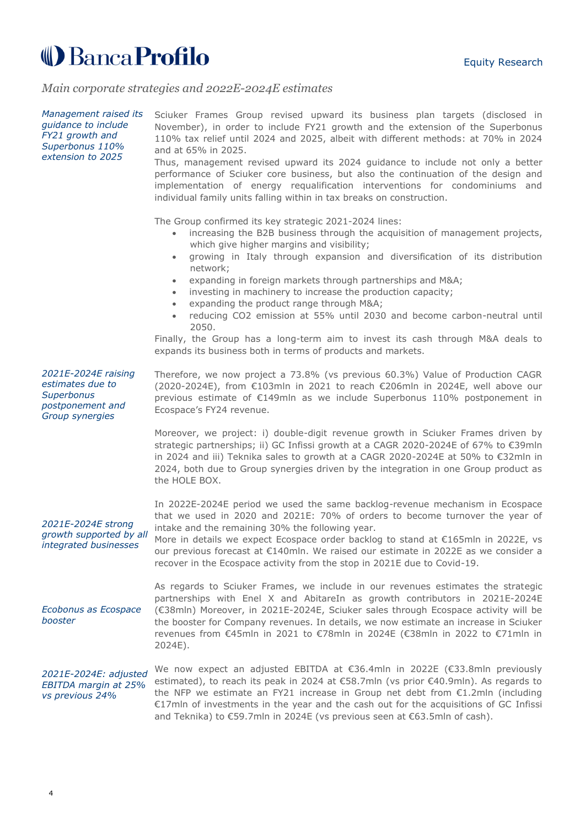# *<sup>* **Banca Profilo**</sup>

# <span id="page-3-0"></span>*Main corporate strategies and 2022E-2024E estimates*

| Management raised its<br>guidance to include<br>FY21 growth and<br>Superbonus 110%<br>extension to 2025 | Sciuker Frames Group revised upward its business plan targets (disclosed in<br>November), in order to include FY21 growth and the extension of the Superbonus<br>110% tax relief until 2024 and 2025, albeit with different methods: at 70% in 2024<br>and at 65% in 2025.<br>Thus, management revised upward its 2024 guidance to include not only a better<br>performance of Sciuker core business, but also the continuation of the design and<br>implementation of energy requalification interventions for condominiums and<br>individual family units falling within in tax breaks on construction. |  |  |  |  |  |  |
|---------------------------------------------------------------------------------------------------------|-----------------------------------------------------------------------------------------------------------------------------------------------------------------------------------------------------------------------------------------------------------------------------------------------------------------------------------------------------------------------------------------------------------------------------------------------------------------------------------------------------------------------------------------------------------------------------------------------------------|--|--|--|--|--|--|
|                                                                                                         | The Group confirmed its key strategic 2021-2024 lines:<br>increasing the B2B business through the acquisition of management projects,<br>$\bullet$<br>which give higher margins and visibility;<br>growing in Italy through expansion and diversification of its distribution<br>$\bullet$<br>network;                                                                                                                                                                                                                                                                                                    |  |  |  |  |  |  |
|                                                                                                         | expanding in foreign markets through partnerships and M&A<br>$\bullet$<br>investing in machinery to increase the production capacity;<br>$\bullet$<br>expanding the product range through M&A<br>$\bullet$<br>reducing CO2 emission at 55% until 2030 and become carbon-neutral until<br>$\bullet$                                                                                                                                                                                                                                                                                                        |  |  |  |  |  |  |
|                                                                                                         | 2050.<br>Finally, the Group has a long-term aim to invest its cash through M&A deals to<br>expands its business both in terms of products and markets.                                                                                                                                                                                                                                                                                                                                                                                                                                                    |  |  |  |  |  |  |
| 2021E-2024E raising<br>estimates due to<br>Superbonus<br>postponement and<br>Group synergies            | Therefore, we now project a 73.8% (vs previous 60.3%) Value of Production CAGR<br>(2020-2024E), from €103mln in 2021 to reach €206mln in 2024E, well above our<br>previous estimate of €149mln as we include Superbonus 110% postponement in<br>Ecospace's FY24 revenue.                                                                                                                                                                                                                                                                                                                                  |  |  |  |  |  |  |
|                                                                                                         | Moreover, we project: i) double-digit revenue growth in Sciuker Frames driven by<br>strategic partnerships; ii) GC Infissi growth at a CAGR 2020-2024E of 67% to €39mln<br>in 2024 and iii) Teknika sales to growth at a CAGR 2020-2024E at 50% to €32mln in<br>2024, both due to Group synergies driven by the integration in one Group product as<br>the HOLE BOX.                                                                                                                                                                                                                                      |  |  |  |  |  |  |
| 2021E-2024E strong<br>growth supported by all<br>integrated businesses                                  | In 2022E-2024E period we used the same backlog-revenue mechanism in Ecospace<br>that we used in 2020 and 2021E: 70% of orders to become turnover the year of<br>intake and the remaining 30% the following year.<br>More in details we expect Ecospace order backlog to stand at €165mln in 2022E, vs<br>our previous forecast at €140mln. We raised our estimate in 2022E as we consider a<br>recover in the Ecospace activity from the stop in 2021E due to Covid-19.                                                                                                                                   |  |  |  |  |  |  |
| Ecobonus as Ecospace<br>booster                                                                         | As regards to Sciuker Frames, we include in our revenues estimates the strategic<br>partnerships with Enel X and AbitareIn as growth contributors in 2021E-2024E<br>(€38mln) Moreover, in 2021E-2024E, Sciuker sales through Ecospace activity will be<br>the booster for Company revenues. In details, we now estimate an increase in Sciuker<br>revenues from €45mln in 2021 to €78mln in 2024E (€38mln in 2022 to €71mln in<br>2024E).                                                                                                                                                                 |  |  |  |  |  |  |
| 2021E-2024E: adjusted<br>EBITDA margin at 25%<br>vs previous 24%                                        | We now expect an adjusted EBITDA at €36.4mln in 2022E (€33.8mln previously<br>estimated), to reach its peak in 2024 at €58.7mln (vs prior €40.9mln). As regards to<br>the NFP we estimate an FY21 increase in Group net debt from €1.2mln (including<br>€17mln of investments in the year and the cash out for the acquisitions of GC Infissi<br>and Teknika) to €59.7mln in 2024E (vs previous seen at €63.5mln of cash).                                                                                                                                                                                |  |  |  |  |  |  |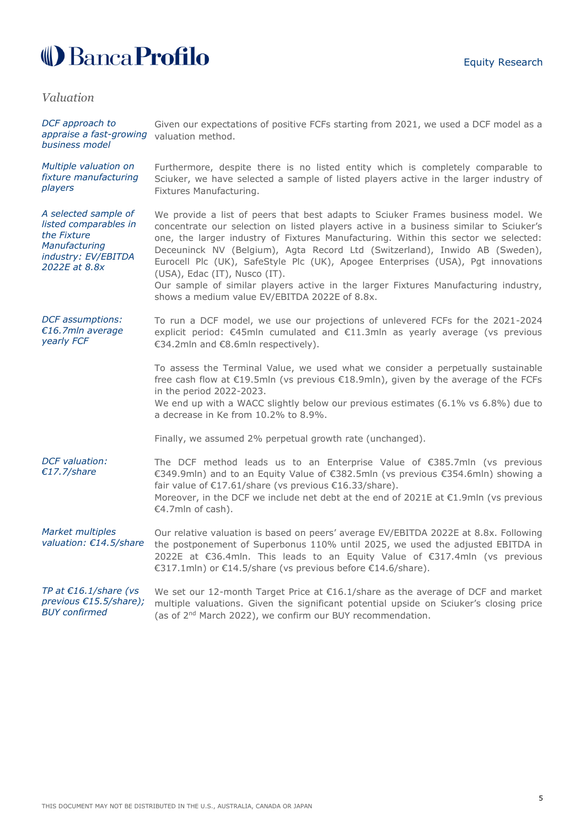# *<u>ID* Banca Profilo</u>

<span id="page-4-0"></span>*Valuation*

| DCF approach to<br>appraise a fast-growing<br>business model                                                          | Given our expectations of positive FCFs starting from 2021, we used a DCF model as a<br>valuation method.                                                                                                                                                                                                                                                                                                                                                                                                                                                   |
|-----------------------------------------------------------------------------------------------------------------------|-------------------------------------------------------------------------------------------------------------------------------------------------------------------------------------------------------------------------------------------------------------------------------------------------------------------------------------------------------------------------------------------------------------------------------------------------------------------------------------------------------------------------------------------------------------|
| Multiple valuation on<br>fixture manufacturing<br>players                                                             | Furthermore, despite there is no listed entity which is completely comparable to<br>Sciuker, we have selected a sample of listed players active in the larger industry of<br>Fixtures Manufacturing.                                                                                                                                                                                                                                                                                                                                                        |
| A selected sample of<br>listed comparables in<br>the Fixture<br>Manufacturing<br>industry: EV/EBITDA<br>2022E at 8.8x | We provide a list of peers that best adapts to Sciuker Frames business model. We<br>concentrate our selection on listed players active in a business similar to Sciuker's<br>one, the larger industry of Fixtures Manufacturing. Within this sector we selected:<br>Deceuninck NV (Belgium), Agta Record Ltd (Switzerland), Inwido AB (Sweden),<br>Eurocell Plc (UK), SafeStyle Plc (UK), Apogee Enterprises (USA), Pgt innovations<br>(USA), Edac (IT), Nusco (IT).<br>Our sample of similar players active in the larger Fixtures Manufacturing industry, |
|                                                                                                                       | shows a medium value EV/EBITDA 2022E of 8.8x.                                                                                                                                                                                                                                                                                                                                                                                                                                                                                                               |
| <b>DCF</b> assumptions:<br>€16.7mln average<br>yearly FCF                                                             | To run a DCF model, we use our projections of unlevered FCFs for the 2021-2024<br>explicit period: €45mln cumulated and €11.3mln as yearly average (vs previous<br>€34.2mln and €8.6mln respectively).                                                                                                                                                                                                                                                                                                                                                      |
|                                                                                                                       | To assess the Terminal Value, we used what we consider a perpetually sustainable<br>free cash flow at €19.5mln (vs previous €18.9mln), given by the average of the FCFs<br>in the period 2022-2023.<br>We end up with a WACC slightly below our previous estimates $(6.1\% \text{ vs } 6.8\%)$ due to<br>a decrease in Ke from 10.2% to 8.9%.                                                                                                                                                                                                               |
|                                                                                                                       | Finally, we assumed 2% perpetual growth rate (unchanged).                                                                                                                                                                                                                                                                                                                                                                                                                                                                                                   |
| DCF valuation:<br>€17.7/share                                                                                         | The DCF method leads us to an Enterprise Value of $\epsilon$ 385.7mln (vs previous<br>€349.9mln) and to an Equity Value of €382.5mln (vs previous €354.6mln) showing a<br>fair value of €17.61/share (vs previous €16.33/share).<br>Moreover, in the DCF we include net debt at the end of 2021E at €1.9mln (vs previous<br>€4.7mln of cash).                                                                                                                                                                                                               |
| <b>Market multiples</b><br>valuation: €14.5/share                                                                     | Our relative valuation is based on peers' average EV/EBITDA 2022E at 8.8x. Following<br>the postponement of Superbonus 110% until 2025, we used the adjusted EBITDA in<br>2022E at €36.4mln. This leads to an Equity Value of €317.4mln (vs previous<br>€317.1mln) or €14.5/share (vs previous before €14.6/share).                                                                                                                                                                                                                                         |
| TP at $£16.1$ /share (vs<br>previous €15.5/share);<br><b>BUY</b> confirmed                                            | We set our 12-month Target Price at $£16.1/share$ as the average of DCF and market<br>multiple valuations. Given the significant potential upside on Sciuker's closing price<br>(as of 2 <sup>nd</sup> March 2022), we confirm our BUY recommendation.                                                                                                                                                                                                                                                                                                      |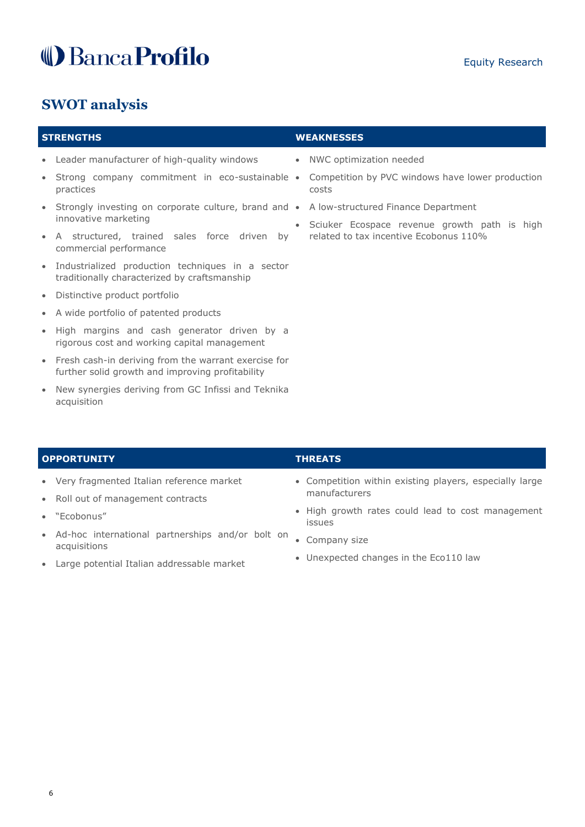# <span id="page-5-0"></span>**SWOT analysis**

- Leader manufacturer of high-quality windows
- Strong company commitment in eco-sustainable practices
- Strongly investing on corporate culture, brand and A low-structured Finance Department innovative marketing
- A structured, trained sales force driven by commercial performance
- Industrialized production techniques in a sector traditionally characterized by craftsmanship
- Distinctive product portfolio
- A wide portfolio of patented products
- High margins and cash generator driven by a rigorous cost and working capital management
- Fresh cash-in deriving from the warrant exercise for further solid growth and improving profitability
- New synergies deriving from GC Infissi and Teknika acquisition

### **STRENGTHS WEAKNESSES**

- NWC optimization needed
- Competition by PVC windows have lower production costs
- 
- Sciuker Ecospace revenue growth path is high related to tax incentive Ecobonus 110%

- Competition within existing players, especially large manufacturers
- High growth rates could lead to cost management issues
- Company size
- Unexpected changes in the Eco110 law

### **OPPORTUNITY THREATS**

- Very fragmented Italian reference market
- Roll out of management contracts
- "Ecobonus"
- Ad-hoc international partnerships and/or bolt on acquisitions
- Large potential Italian addressable market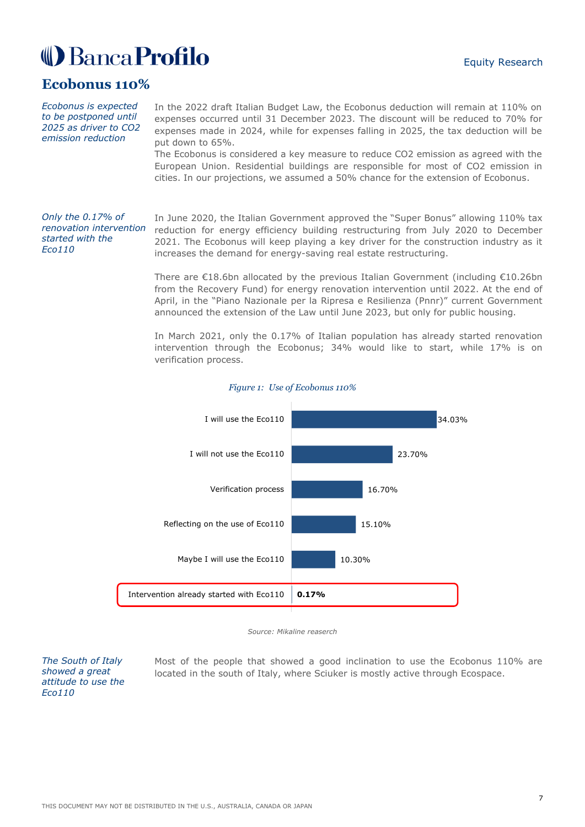# <span id="page-6-0"></span>**Ecobonus 110%**

*Ecobonus is expected to be postponed until 2025 as driver to CO2 emission reduction*

In the 2022 draft Italian Budget Law, the Ecobonus deduction will remain at 110% on expenses occurred until 31 December 2023. The discount will be reduced to 70% for expenses made in 2024, while for expenses falling in 2025, the tax deduction will be put down to 65%.

The Ecobonus is considered a key measure to reduce CO2 emission as agreed with the European Union. Residential buildings are responsible for most of CO2 emission in cities. In our projections, we assumed a 50% chance for the extension of Ecobonus.

*Only the 0.17% of renovation intervention started with the Eco110*

In June 2020, the Italian Government approved the "Super Bonus" allowing 110% tax reduction for energy efficiency building restructuring from July 2020 to December 2021. The Ecobonus will keep playing a key driver for the construction industry as it increases the demand for energy-saving real estate restructuring.

There are €18.6bn allocated by the previous Italian Government (including €10.26bn from the Recovery Fund) for energy renovation intervention until 2022. At the end of April, in the "Piano Nazionale per la Ripresa e Resilienza (Pnnr)" current Government announced the extension of the Law until June 2023, but only for public housing.

In March 2021, only the 0.17% of Italian population has already started renovation intervention through the Ecobonus; 34% would like to start, while 17% is on verification process.



### *Figure 1: Use of Ecobonus 110%*

*Source: Mikaline reaserch*

*The South of Italy showed a great attitude to use the Eco110*

Most of the people that showed a good inclination to use the Ecobonus 110% are located in the south of Italy, where Sciuker is mostly active through Ecospace.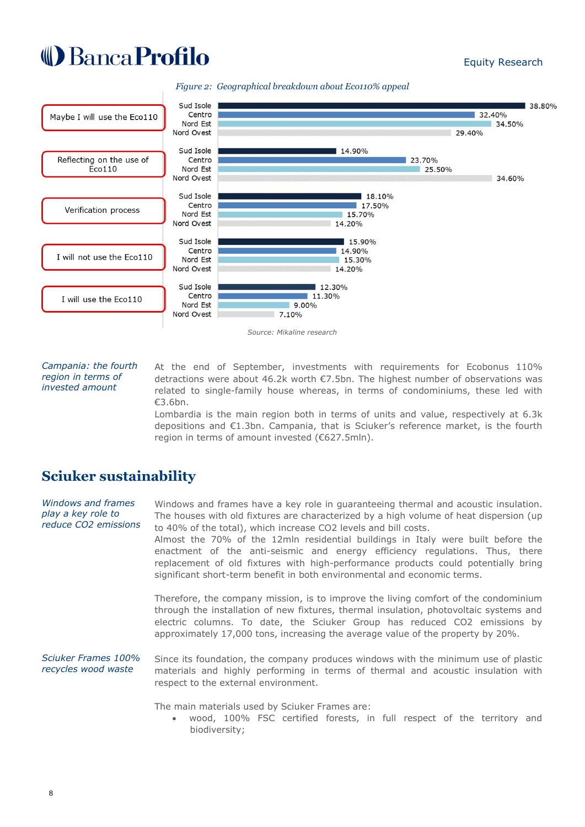## Equity Research







*Campania: the fourth region in terms of invested amount*

At the end of September, investments with requirements for Ecobonus 110% detractions were about 46.2k worth €7.5bn. The highest number of observations was related to single-family house whereas, in terms of condominiums, these led with €3.6bn.

Lombardia is the main region both in terms of units and value, respectively at 6.3k depositions and €1.3bn. Campania, that is Sciuker's reference market, is the fourth region in terms of amount invested (€627.5mln).

# <span id="page-7-0"></span>**Sciuker sustainability**

| Windows and frames<br>play a key role to<br>reduce CO2 emissions | Windows and frames have a key role in guaranteeing thermal and acoustic insulation.<br>The houses with old fixtures are characterized by a high volume of heat dispersion (up<br>to 40% of the total), which increase CO2 levels and bill costs.<br>Almost the 70% of the 12mln residential buildings in Italy were built before the<br>enactment of the anti-seismic and energy efficiency regulations. Thus, there<br>replacement of old fixtures with high-performance products could potentially bring<br>significant short-term benefit in both environmental and economic terms. |
|------------------------------------------------------------------|----------------------------------------------------------------------------------------------------------------------------------------------------------------------------------------------------------------------------------------------------------------------------------------------------------------------------------------------------------------------------------------------------------------------------------------------------------------------------------------------------------------------------------------------------------------------------------------|
|                                                                  | Therefore, the company mission, is to improve the living comfort of the condominium<br>through the installation of new fixtures, thermal insulation, photovoltaic systems and<br>electric columns. To date, the Sciuker Group has reduced CO2 emissions by<br>approximately 17,000 tons, increasing the average value of the property by 20%.                                                                                                                                                                                                                                          |
| Sciuker Frames 100%<br>recycles wood waste                       | Since its foundation, the company produces windows with the minimum use of plastic<br>materials and highly performing in terms of thermal and acoustic insulation with<br>respect to the external environment.                                                                                                                                                                                                                                                                                                                                                                         |
|                                                                  | The main materials used by Sciuker Frames are:<br>a wood 1000/ ECC cortified forests in full respect of the territory and                                                                                                                                                                                                                                                                                                                                                                                                                                                              |

• wood, 100% FSC certified forests, in full respect of the territory and biodiversity;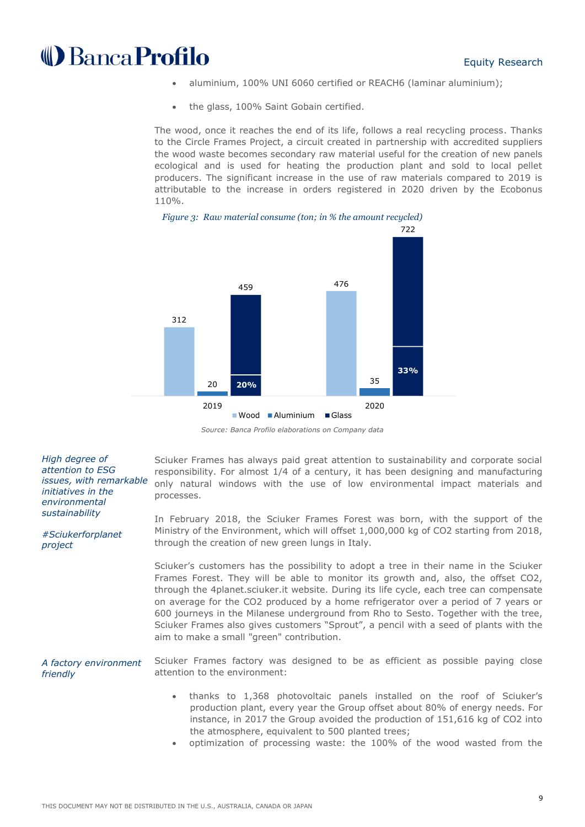- aluminium, 100% UNI 6060 certified or REACH6 (laminar aluminium);
- the glass, 100% Saint Gobain certified.

The wood, once it reaches the end of its life, follows a real recycling process. Thanks to the Circle Frames Project, a circuit created in partnership with accredited suppliers the wood waste becomes secondary raw material useful for the creation of new panels ecological and is used for heating the production plant and sold to local pellet producers. The significant increase in the use of raw materials compared to 2019 is attributable to the increase in orders registered in 2020 driven by the Ecobonus 110%.



*Figure 3: Raw material consume (ton; in % the amount recycled)*

### *High degree of attention to ESG issues, with remarkable initiatives in the environmental sustainability*

*#Sciukerforplanet project*

Sciuker Frames has always paid great attention to sustainability and corporate social responsibility. For almost 1/4 of a century, it has been designing and manufacturing only natural windows with the use of low environmental impact materials and processes.

In February 2018, the Sciuker Frames Forest was born, with the support of the Ministry of the Environment, which will offset 1,000,000 kg of CO2 starting from 2018, through the creation of new green lungs in Italy.

Sciuker's customers has the possibility to adopt a tree in their name in the Sciuker Frames Forest. They will be able to monitor its growth and, also, the offset CO2, through the 4planet.sciuker.it website. During its life cycle, each tree can compensate on average for the CO2 produced by a home refrigerator over a period of 7 years or 600 journeys in the Milanese underground from Rho to Sesto. Together with the tree, Sciuker Frames also gives customers "Sprout", a pencil with a seed of plants with the aim to make a small "green" contribution.

*A factory environment friendly* Sciuker Frames factory was designed to be as efficient as possible paying close attention to the environment:

- thanks to 1,368 photovoltaic panels installed on the roof of Sciuker's production plant, every year the Group offset about 80% of energy needs. For instance, in 2017 the Group avoided the production of 151,616 kg of CO2 into the atmosphere, equivalent to 500 planted trees;
- optimization of processing waste: the 100% of the wood wasted from the

*Source: Banca Profilo elaborations on Company data*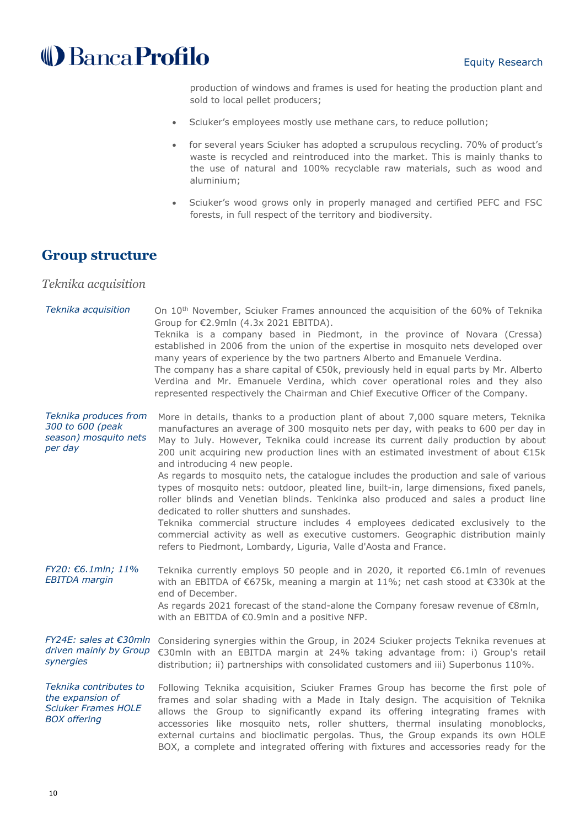production of windows and frames is used for heating the production plant and sold to local pellet producers;

- Sciuker's employees mostly use methane cars, to reduce pollution;
- for several years Sciuker has adopted a scrupulous recycling. 70% of product's waste is recycled and reintroduced into the market. This is mainly thanks to the use of natural and 100% recyclable raw materials, such as wood and aluminium;
- Sciuker's wood grows only in properly managed and certified PEFC and FSC forests, in full respect of the territory and biodiversity.

# <span id="page-9-0"></span>**Group structure**

# <span id="page-9-1"></span>*Teknika acquisition*

| Teknika acquisition                                                                             | On 10 <sup>th</sup> November, Sciuker Frames announced the acquisition of the 60% of Teknika<br>Group for €2.9mln (4.3x 2021 EBITDA).<br>Teknika is a company based in Piedmont, in the province of Novara (Cressa)<br>established in 2006 from the union of the expertise in mosquito nets developed over<br>many years of experience by the two partners Alberto and Emanuele Verdina.<br>The company has a share capital of €50k, previously held in equal parts by Mr. Alberto<br>Verdina and Mr. Emanuele Verdina, which cover operational roles and they also<br>represented respectively the Chairman and Chief Executive Officer of the Company.                                                                                                                                                                                                                                                                                                      |
|-------------------------------------------------------------------------------------------------|---------------------------------------------------------------------------------------------------------------------------------------------------------------------------------------------------------------------------------------------------------------------------------------------------------------------------------------------------------------------------------------------------------------------------------------------------------------------------------------------------------------------------------------------------------------------------------------------------------------------------------------------------------------------------------------------------------------------------------------------------------------------------------------------------------------------------------------------------------------------------------------------------------------------------------------------------------------|
| Teknika produces from<br>300 to 600 (peak<br>season) mosquito nets<br>per day                   | More in details, thanks to a production plant of about 7,000 square meters, Teknika<br>manufactures an average of 300 mosquito nets per day, with peaks to 600 per day in<br>May to July. However, Teknika could increase its current daily production by about<br>200 unit acquiring new production lines with an estimated investment of about €15k<br>and introducing 4 new people.<br>As regards to mosquito nets, the catalogue includes the production and sale of various<br>types of mosquito nets: outdoor, pleated line, built-in, large dimensions, fixed panels,<br>roller blinds and Venetian blinds. Tenkinka also produced and sales a product line<br>dedicated to roller shutters and sunshades.<br>Teknika commercial structure includes 4 employees dedicated exclusively to the<br>commercial activity as well as executive customers. Geographic distribution mainly<br>refers to Piedmont, Lombardy, Liguria, Valle d'Aosta and France. |
| FY20: €6.1mln; 11%<br><b>EBITDA</b> margin                                                      | Teknika currently employs 50 people and in 2020, it reported €6.1mln of revenues<br>with an EBITDA of $\epsilon$ 675k, meaning a margin at 11%; net cash stood at $\epsilon$ 330k at the<br>end of December.<br>As regards 2021 forecast of the stand-alone the Company foresaw revenue of €8mln,<br>with an EBITDA of €0.9mln and a positive NFP.                                                                                                                                                                                                                                                                                                                                                                                                                                                                                                                                                                                                            |
| FY24E: sales at E30mln<br>driven mainly by Group<br>synergies                                   | Considering synergies within the Group, in 2024 Sciuker projects Teknika revenues at<br>€30mln with an EBITDA margin at 24% taking advantage from: i) Group's retail<br>distribution; ii) partnerships with consolidated customers and iii) Superbonus 110%.                                                                                                                                                                                                                                                                                                                                                                                                                                                                                                                                                                                                                                                                                                  |
| Teknika contributes to<br>the expansion of<br><b>Sciuker Frames HOLE</b><br><b>BOX</b> offering | Following Teknika acquisition, Sciuker Frames Group has become the first pole of<br>frames and solar shading with a Made in Italy design. The acquisition of Teknika<br>allows the Group to significantly expand its offering integrating frames with<br>accessories like mosquito nets, roller shutters, thermal insulating monoblocks,<br>external curtains and bioclimatic pergolas. Thus, the Group expands its own HOLE<br>BOX, a complete and integrated offering with fixtures and accessories ready for the                                                                                                                                                                                                                                                                                                                                                                                                                                           |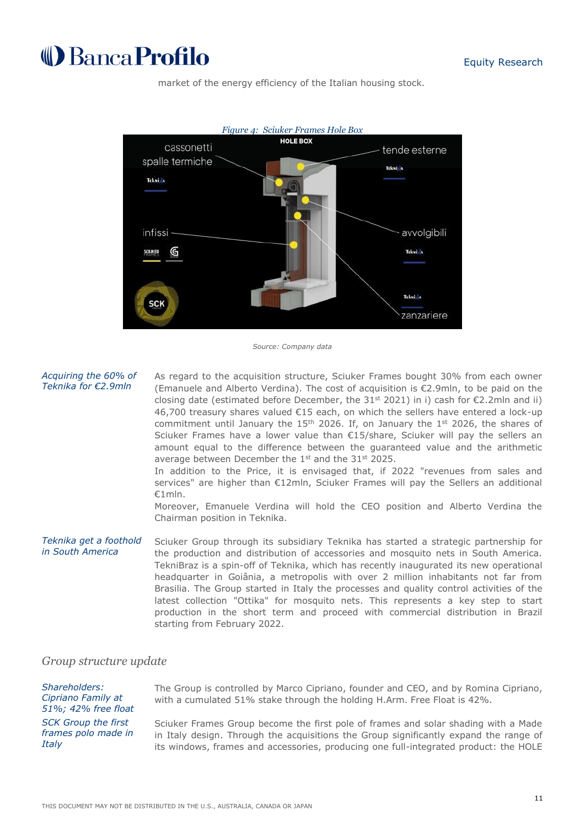market of the energy efficiency of the Italian housing stock.



*Source: Company data*

*Acquiring the 60% of Teknika for €2.9mln*  As regard to the acquisition structure, Sciuker Frames bought 30% from each owner (Emanuele and Alberto Verdina). The cost of acquisition is  $\epsilon$ 2.9mln, to be paid on the closing date (estimated before December, the 31<sup>st</sup> 2021) in i) cash for  $\epsilon$ 2.2mln and ii) 46,700 treasury shares valued €15 each, on which the sellers have entered a lock-up commitment until January the  $15<sup>th</sup>$  2026. If, on January the  $1<sup>st</sup>$  2026, the shares of Sciuker Frames have a lower value than €15/share, Sciuker will pay the sellers an amount equal to the difference between the guaranteed value and the arithmetic average between December the 1<sup>st</sup> and the 31st 2025.

In addition to the Price, it is envisaged that, if 2022 "revenues from sales and services" are higher than €12mln, Sciuker Frames will pay the Sellers an additional €1mln.

Moreover, Emanuele Verdina will hold the CEO position and Alberto Verdina the Chairman position in Teknika.

*Teknika get a foothold in South America* Sciuker Group through its subsidiary Teknika has started a strategic partnership for the production and distribution of accessories and mosquito nets in South America. TekniBraz is a spin-off of Teknika, which has recently inaugurated its new operational headquarter in Goiânia, a metropolis with over 2 million inhabitants not far from Brasilia. The Group started in Italy the processes and quality control activities of the latest collection "Ottika" for mosquito nets. This represents a key step to start production in the short term and proceed with commercial distribution in Brazil starting from February 2022.

### <span id="page-10-0"></span>*Group structure update*

*Shareholders: Cipriano Family at 51%; 42% free float SCK Group the first frames polo made in Italy*

The Group is controlled by Marco Cipriano, founder and CEO, and by Romina Cipriano, with a cumulated 51% stake through the holding H.Arm. Free Float is 42%.

Sciuker Frames Group become the first pole of frames and solar shading with a Made in Italy design. Through the acquisitions the Group significantly expand the range of its windows, frames and accessories, producing one full-integrated product: the HOLE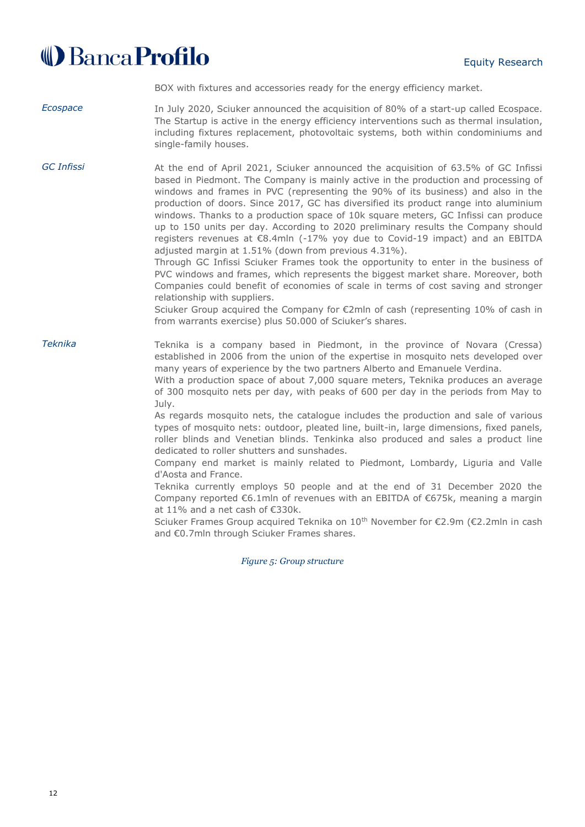BOX with fixtures and accessories ready for the energy efficiency market.

- *Ecospace* In July 2020, Sciuker announced the acquisition of 80% of a start-up called Ecospace. The Startup is active in the energy efficiency interventions such as thermal insulation, including fixtures replacement, photovoltaic systems, both within condominiums and single-family houses.
- GC Infissi **At the end of April 2021, Sciuker announced the acquisition of 63.5% of GC Infissi** based in Piedmont. The Company is mainly active in the production and processing of windows and frames in PVC (representing the 90% of its business) and also in the production of doors. Since 2017, GC has diversified its product range into aluminium windows. Thanks to a production space of 10k square meters, GC Infissi can produce up to 150 units per day. According to 2020 preliminary results the Company should registers revenues at €8.4mln (-17% yoy due to Covid-19 impact) and an EBITDA adjusted margin at 1.51% (down from previous 4.31%).

Through GC Infissi Sciuker Frames took the opportunity to enter in the business of PVC windows and frames, which represents the biggest market share. Moreover, both Companies could benefit of economies of scale in terms of cost saving and stronger relationship with suppliers.

Sciuker Group acquired the Company for €2mln of cash (representing 10% of cash in from warrants exercise) plus 50.000 of Sciuker's shares.

### Teknika **Teknika** is a company based in Piedmont, in the province of Novara (Cressa) established in 2006 from the union of the expertise in mosquito nets developed over many years of experience by the two partners Alberto and Emanuele Verdina.

With a production space of about 7,000 square meters, Teknika produces an average of 300 mosquito nets per day, with peaks of 600 per day in the periods from May to July.

As regards mosquito nets, the catalogue includes the production and sale of various types of mosquito nets: outdoor, pleated line, built-in, large dimensions, fixed panels, roller blinds and Venetian blinds. Tenkinka also produced and sales a product line dedicated to roller shutters and sunshades.

Company end market is mainly related to Piedmont, Lombardy, Liguria and Valle d'Aosta and France.

Teknika currently employs 50 people and at the end of 31 December 2020 the Company reported €6.1mln of revenues with an EBITDA of €675k, meaning a margin at 11% and a net cash of €330k.

Sciuker Frames Group acquired Teknika on 10<sup>th</sup> November for €2.9m (€2.2mln in cash and €0.7mln through Sciuker Frames shares.

*Figure 5: Group structure*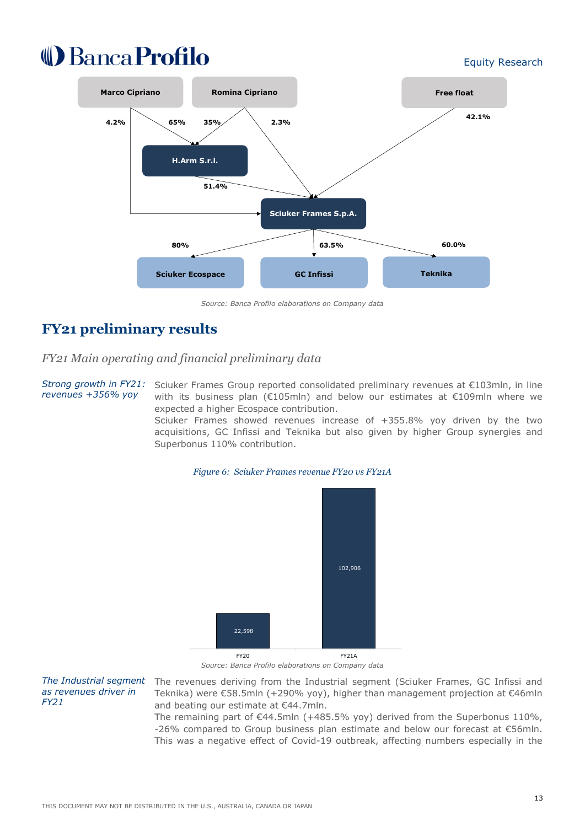### Equity Research



*Source: Banca Profilo elaborations on Company data*

# <span id="page-12-0"></span>**FY21 preliminary results**

# <span id="page-12-1"></span>*FY21 Main operating and financial preliminary data*

*Strong growth in FY21: revenues +356% yoy* Sciuker Frames Group reported consolidated preliminary revenues at €103mln, in line with its business plan (€105mln) and below our estimates at €109mln where we expected a higher Ecospace contribution.

> Sciuker Frames showed revenues increase of +355.8% yoy driven by the two acquisitions, GC Infissi and Teknika but also given by higher Group synergies and Superbonus 110% contribution.





*Source: Banca Profilo elaborations on Company data*

*as revenues driver in FY21*

The Industrial segment The revenues deriving from the Industrial segment (Sciuker Frames, GC Infissi and Teknika) were €58.5mln (+290% yoy), higher than management projection at €46mln and beating our estimate at €44.7mln.

The remaining part of  $€44.5$ mln (+485.5% yoy) derived from the Superbonus 110%, -26% compared to Group business plan estimate and below our forecast at €56mln. This was a negative effect of Covid-19 outbreak, affecting numbers especially in the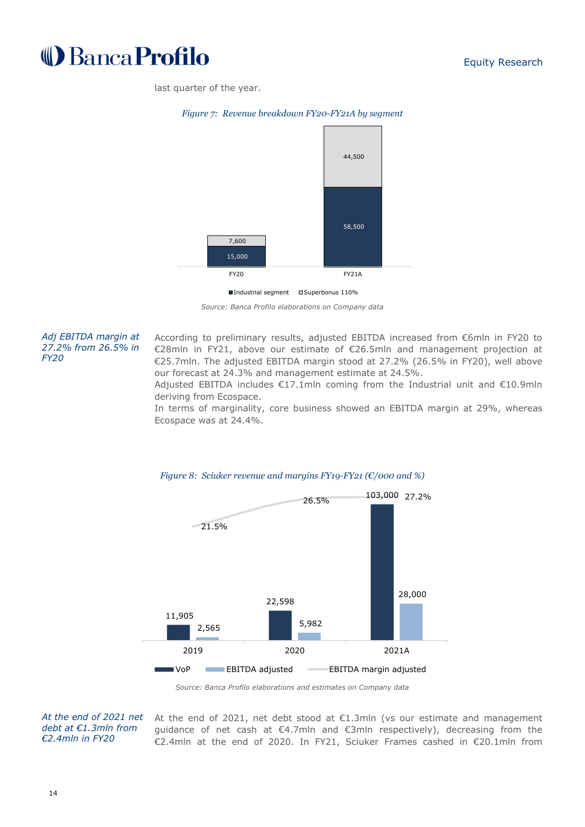last quarter of the year.





■Industrial segment BSuperbonus 110%

*Adj EBITDA margin at 27.2% from 26.5% in FY20*

According to preliminary results, adjusted EBITDA increased from €6mln in FY20 to €28mln in FY21, above our estimate of €26.5mln and management projection at €25.7mln. The adjusted EBITDA margin stood at 27.2% (26.5% in FY20), well above our forecast at 24.3% and management estimate at 24.5%.

Adjusted EBITDA includes €17.1mln coming from the Industrial unit and €10.9mln deriving from Ecospace.

In terms of marginality, core business showed an EBITDA margin at 29%, whereas Ecospace was at 24.4%.



### *Figure 8: Sciuker revenue and margins FY19-FY21 (€/000 and %)*

*At the end of 2021 net debt at €1.3mln from €2.4mln in FY20*

At the end of 2021, net debt stood at  $\epsilon$ 1.3mln (vs our estimate and management guidance of net cash at €4.7mln and €3mln respectively), decreasing from the €2.4mln at the end of 2020. In FY21, Sciuker Frames cashed in €20.1mln from

*Source: Banca Profilo elaborations on Company data*

*Source: Banca Profilo elaborations and estimates on Company data*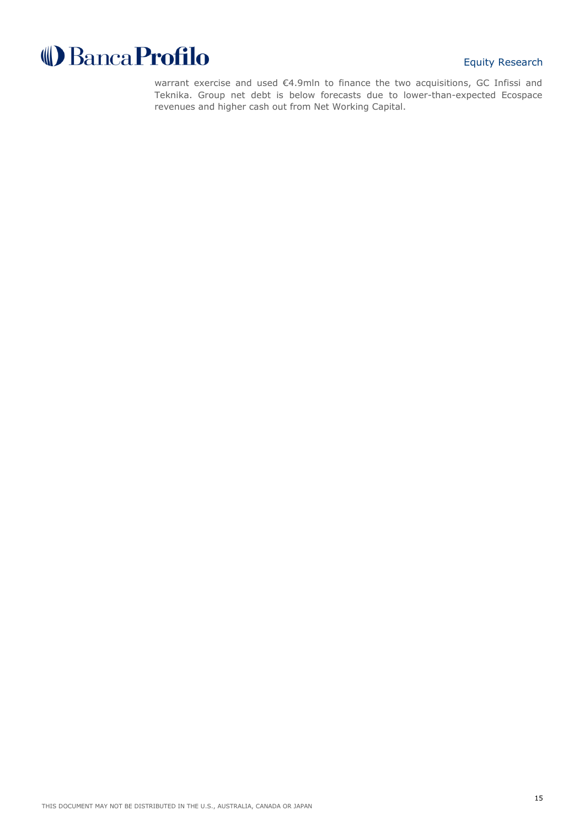

# Equity Research

warrant exercise and used €4.9mln to finance the two acquisitions, GC Infissi and Teknika. Group net debt is below forecasts due to lower-than-expected Ecospace revenues and higher cash out from Net Working Capital.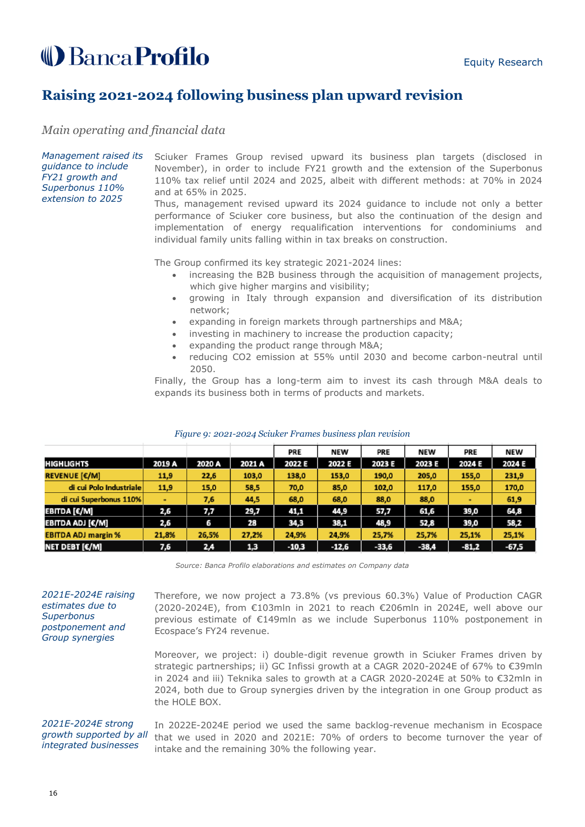# **Raising 2021-2024 following business plan upward revision**

<span id="page-15-0"></span>*Main operating and financial data*

*Management raised its guidance to include FY21 growth and Superbonus 110% extension to 2025* Sciuker Frames Group revised upward its business plan targets (disclosed in November), in order to include FY21 growth and the extension of the Superbonus 110% tax relief until 2024 and 2025, albeit with different methods: at 70% in 2024 and at 65% in 2025. Thus, management revised upward its 2024 guidance to include not only a better

performance of Sciuker core business, but also the continuation of the design and implementation of energy requalification interventions for condominiums and individual family units falling within in tax breaks on construction.

The Group confirmed its key strategic 2021-2024 lines:

- increasing the B2B business through the acquisition of management projects, which give higher margins and visibility;
- growing in Italy through expansion and diversification of its distribution network;
- expanding in foreign markets through partnerships and M&A;
- investing in machinery to increase the production capacity;
- expanding the product range through M&A;
- reducing CO2 emission at 55% until 2030 and become carbon-neutral until 2050.

Finally, the Group has a long-term aim to invest its cash through M&A deals to expands its business both in terms of products and markets.

|                            |        |        |        | <b>PRE</b> | <b>NEW</b> | <b>PRE</b> | <b>NEW</b> | PRE     | <b>NEW</b> |
|----------------------------|--------|--------|--------|------------|------------|------------|------------|---------|------------|
| <b>HIGHLIGHTS</b>          | 2019 A | 2020 A | 2021 A | 2022 E     | 2022 E     | 2023 E     | 2023 E     | 2024 E  | 2024 E     |
| <b>REVENUE [€/M]</b>       | 11,9   | 22,6   | 103,0  | 138,0      | 153,0      | 190,0      | 205,0      | 155,0   | 231,9      |
| di cui Polo Industriale    | 11,9   | 15,0   | 58,5   | 70,0       | 85,0       | 102,0      | 117,0      | 155,0   | 170,0      |
| di cui Superbonus 110%     | ۰      | 7,6    | 44,5   | 68.0       | 68.0       | 88,0       | 88.0       |         | 61,9       |
| EBITDA [€/M]               | 2,6    | 7,7    | 29,7   | 41,1       | 44,9       | 57,7       | 61,6       | 39,0    | 64,8       |
| EBITDA ADJ [€/M]           | 2,6    | 6      | 28     | 34,3       | 38,1       | 48,9       | 52,8       | 39,0    | 58,2       |
| <b>EBITDA ADJ margin %</b> | 21.8%  | 26,5%  | 27,2%  | 24,9%      | 24,9%      | 25,7%      | 25,7%      | 25,1%   | 25,1%      |
| NET DEBT [C/M]             | 7,6    | 2,4    | 1,3    | $-10,3$    | $-12,6$    | $-33,6$    | $-38,4$    | $-81,2$ | $-67,5$    |

### *Figure 9: 2021-2024 Sciuker Frames business plan revision*

*Source: Banca Profilo elaborations and estimates on Company data*

*2021E-2024E raising estimates due to Superbonus postponement and Group synergies 2021E-2024E strong growth supported by all integrated businesses* Therefore, we now project a 73.8% (vs previous 60.3%) Value of Production CAGR (2020-2024E), from €103mln in 2021 to reach €206mln in 2024E, well above our previous estimate of €149mln as we include Superbonus 110% postponement in Ecospace's FY24 revenue. Moreover, we project: i) double-digit revenue growth in Sciuker Frames driven by strategic partnerships; ii) GC Infissi growth at a CAGR 2020-2024E of 67% to €39mln in 2024 and iii) Teknika sales to growth at a CAGR 2020-2024E at 50% to €32mln in 2024, both due to Group synergies driven by the integration in one Group product as the HOLE BOX. In 2022E-2024E period we used the same backlog-revenue mechanism in Ecospace that we used in 2020 and 2021E: 70% of orders to become turnover the year of intake and the remaining 30% the following year.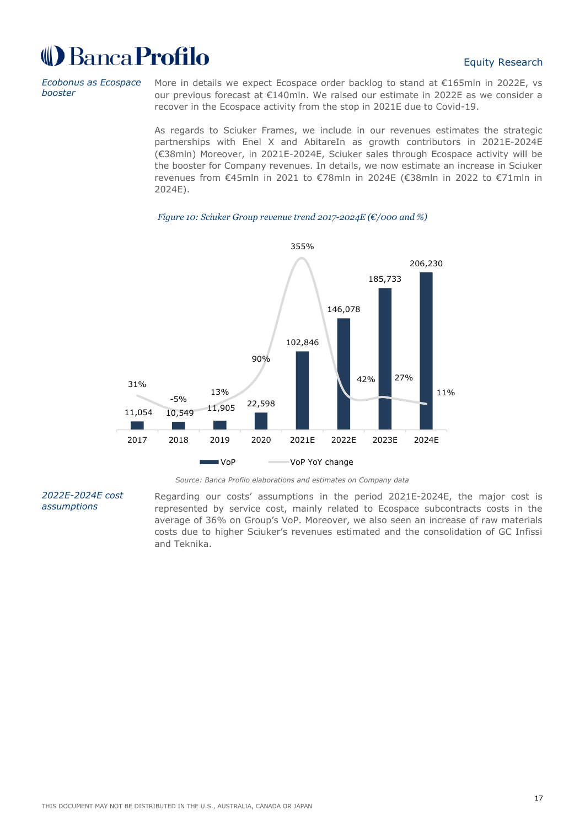*Ecobonus as Ecospace booster*

More in details we expect Ecospace order backlog to stand at €165mln in 2022E, vs our previous forecast at €140mln. We raised our estimate in 2022E as we consider a recover in the Ecospace activity from the stop in 2021E due to Covid-19.

Equity Research

As regards to Sciuker Frames, we include in our revenues estimates the strategic partnerships with Enel X and AbitareIn as growth contributors in 2021E-2024E (€38mln) Moreover, in 2021E-2024E, Sciuker sales through Ecospace activity will be the booster for Company revenues. In details, we now estimate an increase in Sciuker revenues from €45mln in 2021 to €78mln in 2024E (€38mln in 2022 to €71mln in 2024E).

### *Figure 10: Sciuker Group revenue trend 2017-2024E (€/000 and %)*



*Source: Banca Profilo elaborations and estimates on Company data*

*2022E-2024E cost assumptions*

Regarding our costs' assumptions in the period 2021E-2024E, the major cost is represented by service cost, mainly related to Ecospace subcontracts costs in the average of 36% on Group's VoP. Moreover, we also seen an increase of raw materials costs due to higher Sciuker's revenues estimated and the consolidation of GC Infissi and Teknika.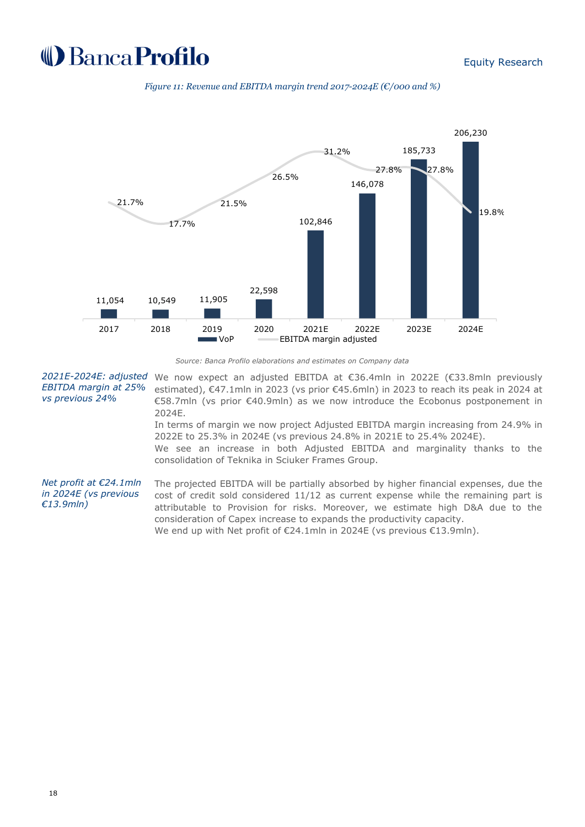# Equity Research





*Source: Banca Profilo elaborations and estimates on Company data*

*2021E-2024E: adjusted*  We now expect an adjusted EBITDA at €36.4mln in 2022E (€33.8mln previously *EBITDA margin at 25% vs previous 24%* estimated), €47.1mln in 2023 (vs prior €45.6mln) in 2023 to reach its peak in 2024 at €58.7mln (vs prior €40.9mln) as we now introduce the Ecobonus postponement in 2024E. In terms of margin we now project Adjusted EBITDA margin increasing from 24.9% in 2022E to 25.3% in 2024E (vs previous 24.8% in 2021E to 25.4% 2024E). We see an increase in both Adjusted EBITDA and marginality thanks to the consolidation of Teknika in Sciuker Frames Group. *Net profit at €24.1mln in 2024E (vs previous €13.9mln)* The projected EBITDA will be partially absorbed by higher financial expenses, due the cost of credit sold considered 11/12 as current expense while the remaining part is attributable to Provision for risks. Moreover, we estimate high D&A due to the consideration of Capex increase to expands the productivity capacity.

We end up with Net profit of €24.1mln in 2024E (vs previous €13.9mln).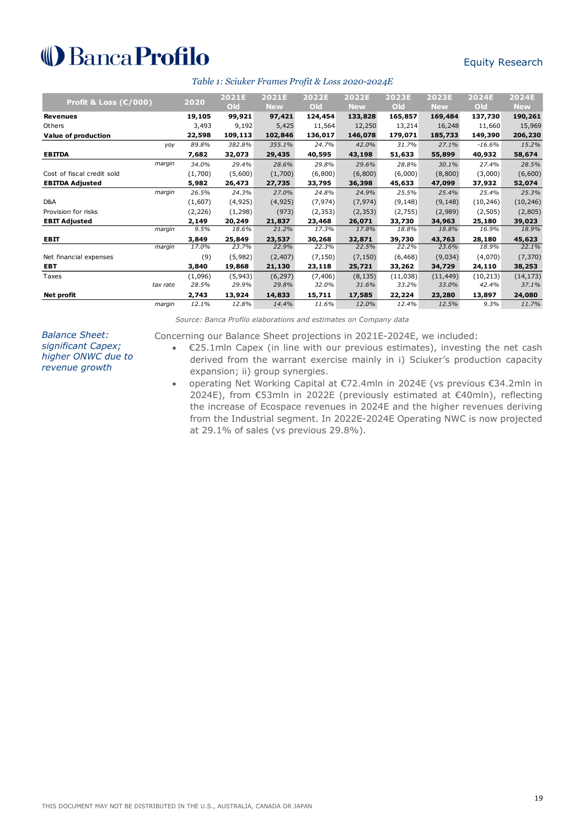### Equity Research

| Table 1: Sciuker Frames Profit & Loss 2020-2024E |
|--------------------------------------------------|
|--------------------------------------------------|

|                            |          |          | <b>2021E</b> | <b>2021E</b> | 2022E    | 2022E      | 2023E    | 2023E      | 2024E     | <b>2024E</b> |
|----------------------------|----------|----------|--------------|--------------|----------|------------|----------|------------|-----------|--------------|
| Profit & Loss (€/000)      |          | 2020     |              |              |          |            |          |            |           |              |
|                            |          |          | Old          | <b>New</b>   | Old      | <b>New</b> | Old      | <b>New</b> | Old       | <b>New</b>   |
| <b>Revenues</b>            |          | 19,105   | 99,921       | 97,421       | 124,454  | 133,828    | 165,857  | 169,484    | 137,730   | 190,261      |
| Others                     |          | 3,493    | 9,192        | 5,425        | 11,564   | 12,250     | 13,214   | 16,248     | 11,660    | 15,969       |
| Value of production        |          | 22,598   | 109,113      | 102,846      | 136,017  | 146,078    | 179,071  | 185,733    | 149,390   | 206,230      |
|                            | yoy      | 89.8%    | 382.8%       | 355.1%       | 24.7%    | 42.0%      | 31.7%    | 27.1%      | $-16.6%$  | 15.2%        |
| <b>EBITDA</b>              |          | 7,682    | 32,073       | 29,435       | 40,595   | 43,198     | 51,633   | 55,899     | 40,932    | 58,674       |
|                            | margin   | 34.0%    | 29.4%        | 28.6%        | 29.8%    | 29.6%      | 28.8%    | 30.1%      | 27.4%     | 28.5%        |
| Cost of fiscal credit sold |          | (1,700)  | (5,600)      | (1,700)      | (6,800)  | (6,800)    | (6,000)  | (8,800)    | (3,000)   | (6,600)      |
| <b>EBITDA Adjusted</b>     |          | 5,982    | 26,473       | 27,735       | 33,795   | 36,398     | 45,633   | 47,099     | 37,932    | 52,074       |
|                            | margin   | 26.5%    | 24.3%        | 27.0%        | 24.8%    | 24.9%      | 25.5%    | 25.4%      | 25.4%     | 25.3%        |
| D&A                        |          | (1,607)  | (4,925)      | (4, 925)     | (7, 974) | (7, 974)   | (9, 148) | (9, 148)   | (10, 246) | (10, 246)    |
| Provision for risks        |          | (2, 226) | (1, 298)     | (973)        | (2, 353) | (2, 353)   | (2,755)  | (2,989)    | (2,505)   | (2,805)      |
| <b>EBIT Adjusted</b>       |          | 2,149    | 20,249       | 21,837       | 23,468   | 26,071     | 33,730   | 34,963     | 25,180    | 39,023       |
|                            | margin   | 9.5%     | 18.6%        | 21.2%        | 17.3%    | 17.8%      | 18.8%    | 18.8%      | 16.9%     | 18.9%        |
| <b>EBIT</b>                |          | 3,849    | 25,849       | 23,537       | 30,268   | 32,871     | 39,730   | 43,763     | 28,180    | 45,623       |
|                            | margin   | 17.0%    | 23.7%        | 22.9%        | 22.3%    | 22.5%      | 22.2%    | 23.6%      | 18.9%     | 22.1%        |
| Net financial expenses     |          | (9)      | (5,982)      | (2, 407)     | (7, 150) | (7, 150)   | (6, 468) | (9,034)    | (4,070)   | (7, 370)     |
| <b>EBT</b>                 |          | 3,840    | 19,868       | 21,130       | 23,118   | 25,721     | 33,262   | 34,729     | 24,110    | 38,253       |
| Taxes                      |          | (1,096)  | (5, 943)     | (6, 297)     | (7, 406) | (8, 135)   | (11,038) | (11, 449)  | (10, 213) | (14, 173)    |
|                            | tax rate | 28.5%    | 29.9%        | 29.8%        | 32.0%    | 31.6%      | 33.2%    | 33.0%      | 42.4%     | 37.1%        |
| Net profit                 |          | 2,743    | 13,924       | 14,833       | 15,711   | 17,585     | 22,224   | 23,280     | 13,897    | 24,080       |
|                            | margin   | 12.1%    | 12.8%        | 14.4%        | 11.6%    | 12.0%      | 12.4%    | 12.5%      | 9.3%      | 11.7%        |

*Source: Banca Profilo elaborations and estimates on Company data*

*Balance Sheet: significant Capex; higher ONWC due to revenue growth* 

Concerning our Balance Sheet projections in 2021E-2024E, we included: • €25.1mln Capex (in line with our previous estimates), investing the net cash

- derived from the warrant exercise mainly in i) Sciuker's production capacity expansion; ii) group synergies.
- operating Net Working Capital at €72.4mln in 2024E (vs previous €34.2mln in 2024E), from €53mln in 2022E (previously estimated at €40mln), reflecting the increase of Ecospace revenues in 2024E and the higher revenues deriving from the Industrial segment. In 2022E-2024E Operating NWC is now projected at 29.1% of sales (vs previous 29.8%).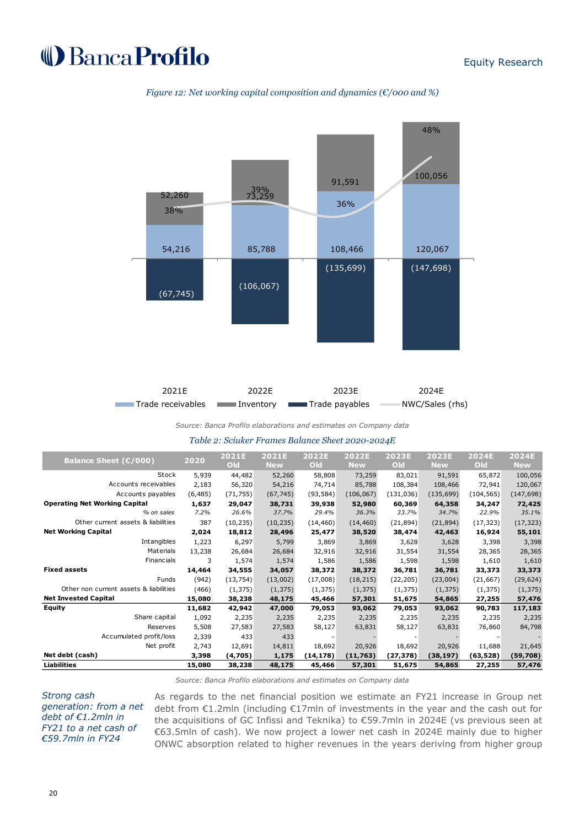**College** 

### Equity Research





| <i>L</i> ULIL     | LULL       | ᅀᄖᇰᄂ           | <b>LULTL</b>    |
|-------------------|------------|----------------|-----------------|
| Trade receivables | ∎Inventorv | Trade payables | NWC/Sales (rhs) |

*Source: Banca Profilo elaborations and estimates on Company data*

|                                        |          | <b>2021E</b> | <b>2021E</b> | 2022E     | 2022E      | 2023E      | <b>2023E</b> | <b>2024E</b> | 2024E      |
|----------------------------------------|----------|--------------|--------------|-----------|------------|------------|--------------|--------------|------------|
| Balance Sheet ( $\epsilon$ /000)       | 2020     | Old          | <b>New</b>   | Old       | <b>New</b> | Old        | <b>New</b>   | Old          | <b>New</b> |
| Stock                                  | 5,939    | 44,482       | 52,260       | 58,808    | 73,259     | 83,021     | 91,591       | 65,872       | 100,056    |
| Accounts receivables                   | 2,183    | 56,320       | 54,216       | 74,714    | 85,788     | 108,384    | 108,466      | 72,941       | 120,067    |
| Accounts payables                      | (6, 485) | (71, 755)    | (67, 745)    | (93, 584) | (106, 067) | (131, 036) | (135, 699)   | (104, 565)   | (147, 698) |
| <b>Operating Net Working Capital</b>   | 1,637    | 29,047       | 38,731       | 39,938    | 52,980     | 60,369     | 64,358       | 34,247       | 72,425     |
| % on sales                             | 7.2%     | 26.6%        | 37.7%        | 29.4%     | 36.3%      | 33.7%      | 34.7%        | 22.9%        | 35.1%      |
| Other current assets & liabilities     | 387      | (10, 235)    | (10, 235)    | (14, 460) | (14, 460)  | (21, 894)  | (21, 894)    | (17, 323)    | (17, 323)  |
| <b>Net Working Capital</b>             | 2,024    | 18,812       | 28,496       | 25,477    | 38,520     | 38,474     | 42,463       | 16,924       | 55,101     |
| Intangibles                            | 1,223    | 6,297        | 5,799        | 3,869     | 3,869      | 3,628      | 3,628        | 3,398        | 3,398      |
| Materials                              | 13,238   | 26,684       | 26,684       | 32,916    | 32,916     | 31,554     | 31,554       | 28,365       | 28,365     |
| Financials                             | 3        | 1,574        | 1,574        | 1,586     | 1,586      | 1,598      | 1,598        | 1,610        | 1,610      |
| <b>Fixed assets</b>                    | 14,464   | 34,555       | 34,057       | 38,372    | 38,372     | 36,781     | 36,781       | 33,373       | 33,373     |
| Funds                                  | (942)    | (13, 754)    | (13,002)     | (17,008)  | (18, 215)  | (22, 205)  | (23,004)     | (21, 667)    | (29, 624)  |
| Other non current assets & liabilities | (466)    | (1, 375)     | (1, 375)     | (1, 375)  | (1, 375)   | (1, 375)   | (1, 375)     | (1, 375)     | (1, 375)   |
| <b>Net Invested Capital</b>            | 15,080   | 38,238       | 48,175       | 45,466    | 57,301     | 51,675     | 54,865       | 27,255       | 57,476     |
| Equity                                 | 11,682   | 42,942       | 47,000       | 79,053    | 93,062     | 79,053     | 93,062       | 90,783       | 117,183    |
| Share capital                          | 1,092    | 2,235        | 2,235        | 2,235     | 2,235      | 2,235      | 2,235        | 2,235        | 2,235      |
| Reserves                               | 5,508    | 27,583       | 27,583       | 58,127    | 63,831     | 58,127     | 63,831       | 76,860       | 84,798     |
| Accumulated profit/loss                | 2,339    | 433          | 433          |           |            |            |              |              |            |
| Net profit                             | 2,743    | 12,691       | 14,811       | 18,692    | 20,926     | 18,692     | 20,926       | 11,688       | 21,645     |
| Net debt (cash)                        | 3,398    | (4,705)      | 1,175        | (14, 178) | (11,763)   | (27, 378)  | (38, 197)    | (63, 528)    | (59,708)   |
| <b>Liabilities</b>                     | 15,080   | 38,238       | 48,175       | 45,466    | 57,301     | 51,675     | 54,865       | 27,255       | 57,476     |

*Source: Banca Profilo elaborations and estimates on Company data*

*Strong cash generation: from a net debt of €1.2mln in FY21 to a net cash of €59.7mln in FY24*

As regards to the net financial position we estimate an FY21 increase in Group net debt from €1.2mln (including €17mln of investments in the year and the cash out for the acquisitions of GC Infissi and Teknika) to €59.7mln in 2024E (vs previous seen at €63.5mln of cash). We now project a lower net cash in 2024E mainly due to higher ONWC absorption related to higher revenues in the years deriving from higher group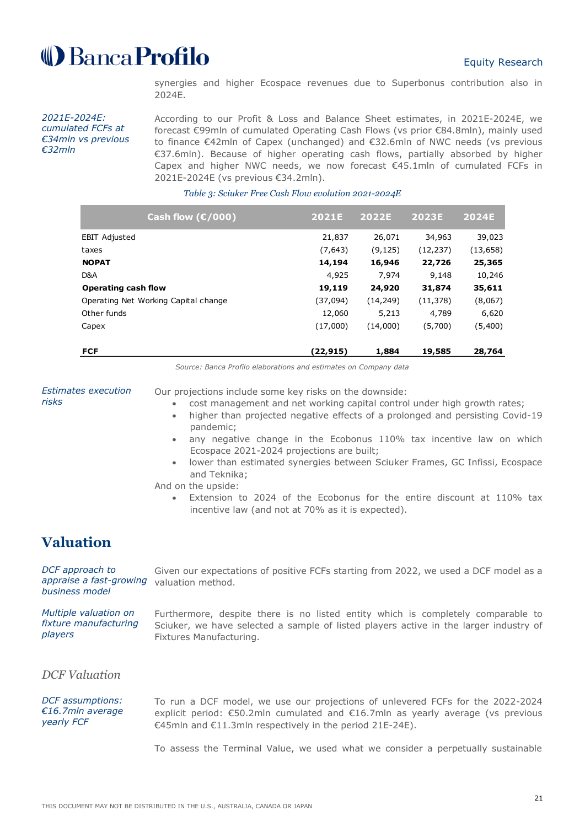

synergies and higher Ecospace revenues due to Superbonus contribution also in 2024E.

*2021E-2024E: cumulated FCFs at €34mln vs previous €32mln*

According to our Profit & Loss and Balance Sheet estimates, in 2021E-2024E, we forecast €99mln of cumulated Operating Cash Flows (vs prior €84.8mln), mainly used to finance €42mln of Capex (unchanged) and €32.6mln of NWC needs (vs previous €37.6mln). Because of higher operating cash flows, partially absorbed by higher Capex and higher NWC needs, we now forecast €45.1mln of cumulated FCFs in 2021E-2024E (vs previous €34.2mln).

### *Table 3: Sciuker Free Cash Flow evolution 2021-2024E*

| Cash flow $(\epsilon/000)$           | 2021E     | 2022E    | 2023E     | <b>2024E</b> |
|--------------------------------------|-----------|----------|-----------|--------------|
| <b>EBIT Adjusted</b>                 | 21,837    | 26,071   | 34,963    | 39,023       |
| taxes                                | (7, 643)  | (9, 125) | (12, 237) | (13, 658)    |
| <b>NOPAT</b>                         | 14,194    | 16,946   | 22,726    | 25,365       |
| D&A                                  | 4,925     | 7,974    | 9,148     | 10,246       |
| <b>Operating cash flow</b>           | 19,119    | 24,920   | 31,874    | 35,611       |
| Operating Net Working Capital change | (37,094)  | (14,249) | (11, 378) | (8,067)      |
| Other funds                          | 12,060    | 5,213    | 4,789     | 6,620        |
| Capex                                | (17,000)  | (14,000) | (5,700)   | (5,400)      |
|                                      |           |          |           |              |
| <b>FCF</b>                           | (22, 915) | 1,884    | 19,585    | 28,764       |

*Source: Banca Profilo elaborations and estimates on Company data*

*Estimates execution risks*

Our projections include some key risks on the downside:

- cost management and net working capital control under high growth rates;
- higher than projected negative effects of a prolonged and persisting Covid-19 pandemic;
- any negative change in the Ecobonus 110% tax incentive law on which Ecospace 2021-2024 projections are built;
- lower than estimated synergies between Sciuker Frames, GC Infissi, Ecospace and Teknika;

And on the upside:

• Extension to 2024 of the Ecobonus for the entire discount at 110% tax incentive law (and not at 70% as it is expected).

# <span id="page-20-0"></span>**Valuation**

*DCF approach to appraise a fast-growing*  valuation method. *business model* Given our expectations of positive FCFs starting from 2022, we used a DCF model as a

*Multiple valuation on fixture manufacturing players* Furthermore, despite there is no listed entity which is completely comparable to Sciuker, we have selected a sample of listed players active in the larger industry of Fixtures Manufacturing.

<span id="page-20-1"></span>*DCF Valuation*

*DCF assumptions: €16.7mln average yearly FCF* To run a DCF model, we use our projections of unlevered FCFs for the 2022-2024 explicit period: €50.2mln cumulated and €16.7mln as yearly average (vs previous €45mln and €11.3mln respectively in the period 21E-24E).

To assess the Terminal Value, we used what we consider a perpetually sustainable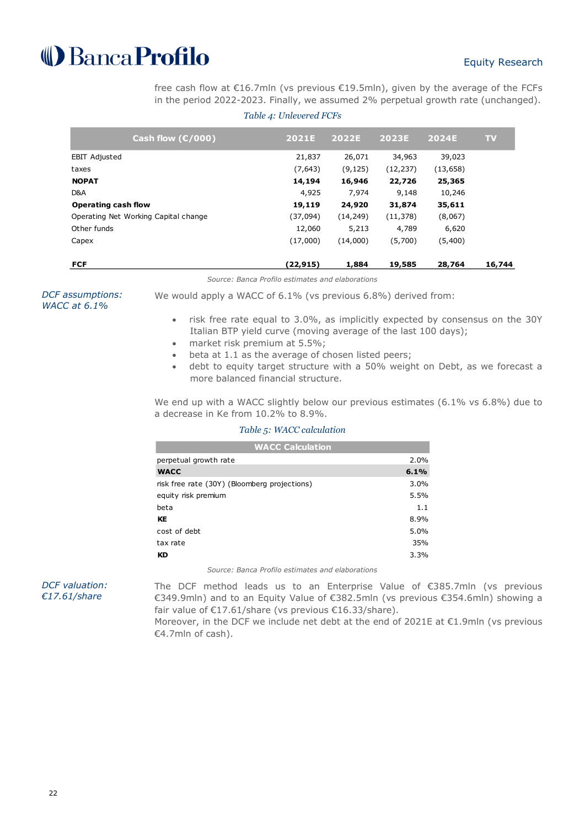# Equity Research

free cash flow at €16.7mln (vs previous €19.5mln), given by the average of the FCFs in the period 2022-2023. Finally, we assumed 2% perpetual growth rate (unchanged).

| <b>FCF</b>                           | (22,915)     | 1,884     | 19,585       | 28,764       | 16,744    |
|--------------------------------------|--------------|-----------|--------------|--------------|-----------|
| Capex                                | (17,000)     | (14,000)  | (5,700)      | (5,400)      |           |
| Other funds                          | 12,060       | 5,213     | 4,789        | 6,620        |           |
| Operating Net Working Capital change | (37,094)     | (14, 249) | (11, 378)    | (8,067)      |           |
| <b>Operating cash flow</b>           | 19,119       | 24,920    | 31,874       | 35,611       |           |
| D&A                                  | 4,925        | 7,974     | 9,148        | 10,246       |           |
| <b>NOPAT</b>                         | 14,194       | 16,946    | 22,726       | 25,365       |           |
| taxes                                | (7, 643)     | (9, 125)  | (12, 237)    | (13, 658)    |           |
| <b>EBIT Adjusted</b>                 | 21,837       | 26,071    | 34,963       | 39,023       |           |
| Cash flow $(\epsilon/000)$           | <b>2021E</b> | 2022E     | <b>2023E</b> | <b>2024E</b> | <b>TV</b> |
|                                      |              |           |              |              |           |

*Table 4: Unlevered FCFs*

*Source: Banca Profilo estimates and elaborations*

*DCF assumptions: WACC at 6.1%*

We would apply a WACC of 6.1% (vs previous 6.8%) derived from:

- risk free rate equal to 3.0%, as implicitly expected by consensus on the 30Y Italian BTP yield curve (moving average of the last 100 days);
- market risk premium at 5.5%;
- beta at 1.1 as the average of chosen listed peers;
- debt to equity target structure with a 50% weight on Debt, as we forecast a more balanced financial structure.

We end up with a WACC slightly below our previous estimates (6.1% vs 6.8%) due to a decrease in Ke from 10.2% to 8.9%.

### *Table 5: WACC calculation*

| <b>WACC Calculation</b>                      |      |  |  |  |  |  |  |
|----------------------------------------------|------|--|--|--|--|--|--|
| perpetual growth rate                        | 2.0% |  |  |  |  |  |  |
| <b>WACC</b>                                  | 6.1% |  |  |  |  |  |  |
| risk free rate (30Y) (Bloomberg projections) | 3.0% |  |  |  |  |  |  |
| equity risk premium                          | 5.5% |  |  |  |  |  |  |
| beta                                         | 1.1  |  |  |  |  |  |  |
| KE                                           | 8.9% |  |  |  |  |  |  |
| cost of debt                                 | 5.0% |  |  |  |  |  |  |
| tax rate                                     | 35%  |  |  |  |  |  |  |
| KD                                           | 3.3% |  |  |  |  |  |  |

*Source: Banca Profilo estimates and elaborations*

*DCF valuation: €17.61/share*

The DCF method leads us to an Enterprise Value of €385.7mln (vs previous €349.9mln) and to an Equity Value of €382.5mln (vs previous €354.6mln) showing a fair value of €17.61/share (vs previous €16.33/share).

Moreover, in the DCF we include net debt at the end of 2021E at €1.9mln (vs previous €4.7mln of cash).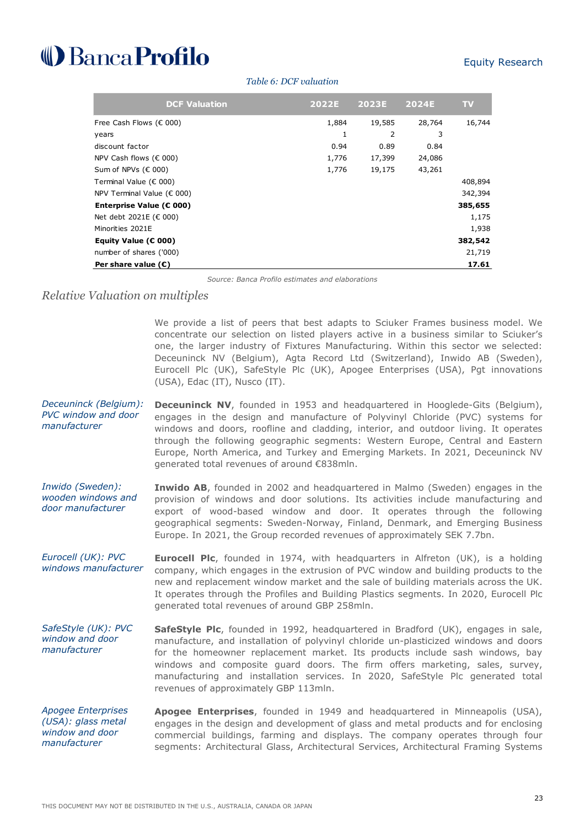|  |  | Table 6: DCF valuation |  |
|--|--|------------------------|--|
|--|--|------------------------|--|

| <b>DCF Valuation</b>                 | <b>2022E</b> | <b>2023E</b> | <b>2024E</b> | <b>TV</b> |
|--------------------------------------|--------------|--------------|--------------|-----------|
| Free Cash Flows ( $\epsilon$ 000)    | 1,884        | 19,585       | 28,764       | 16,744    |
| years                                | 1            | 2            | 3            |           |
| discount factor                      | 0.94         | 0.89         | 0.84         |           |
| NPV Cash flows ( $\epsilon$ 000)     | 1,776        | 17,399       | 24,086       |           |
| Sum of NPVs ( $\in$ 000)             | 1,776        | 19,175       | 43,261       |           |
| Terminal Value ( $\epsilon$ 000)     |              |              |              | 408,894   |
| NPV Terminal Value ( $\epsilon$ 000) |              |              |              | 342,394   |
| Enterprise Value ( $\epsilon$ 000)   |              |              |              | 385,655   |
| Net debt 2021E (€ 000)               |              |              |              | 1,175     |
| Minorities 2021E                     |              |              |              | 1,938     |
| Equity Value ( $\epsilon$ 000)       |              |              |              | 382,542   |
| number of shares ('000)              |              |              |              | 21,719    |
| Per share value $(\epsilon)$         |              |              |              | 17.61     |

*Source: Banca Profilo estimates and elaborations*

# <span id="page-22-0"></span>*Relative Valuation on multiples*

| We provide a list of peers that best adapts to Sciuker Frames business model. We      |
|---------------------------------------------------------------------------------------|
| concentrate our selection on listed players active in a business similar to Sciuker's |
| one, the larger industry of Fixtures Manufacturing. Within this sector we selected:   |
| Deceuninck NV (Belgium), Agta Record Ltd (Switzerland), Inwido AB (Sweden),           |
| Eurocell Plc (UK), SafeStyle Plc (UK), Apogee Enterprises (USA), Pgt innovations      |
| $(USA)$ , Edac $(IT)$ , Nusco $(IT)$ .                                                |
|                                                                                       |

- *Deceuninck (Belgium): PVC window and door manufacturer* **Deceuninck NV**, founded in 1953 and headquartered in Hooglede-Gits (Belgium), engages in the design and manufacture of Polyvinyl Chloride (PVC) systems for windows and doors, roofline and cladding, interior, and outdoor living. It operates through the following geographic segments: Western Europe, Central and Eastern Europe, North America, and Turkey and Emerging Markets. In 2021, Deceuninck NV generated total revenues of around €838mln.
- *Inwido (Sweden): wooden windows and door manufacturer* **Inwido AB**, founded in 2002 and headquartered in Malmo (Sweden) engages in the provision of windows and door solutions. Its activities include manufacturing and export of wood-based window and door. It operates through the following geographical segments: Sweden-Norway, Finland, Denmark, and Emerging Business Europe. In 2021, the Group recorded revenues of approximately SEK 7.7bn.
- *Eurocell (UK): PVC windows manufacturer* **Eurocell Plc**, founded in 1974, with headquarters in Alfreton (UK), is a holding company, which engages in the extrusion of PVC window and building products to the new and replacement window market and the sale of building materials across the UK. It operates through the Profiles and Building Plastics segments. In 2020, Eurocell Plc generated total revenues of around GBP 258mln.
- *SafeStyle (UK): PVC window and door manufacturer* **SafeStyle Plc**, founded in 1992, headquartered in Bradford (UK), engages in sale, manufacture, and installation of polyvinyl chloride un-plasticized windows and doors for the homeowner replacement market. Its products include sash windows, bay windows and composite guard doors. The firm offers marketing, sales, survey, manufacturing and installation services. In 2020, SafeStyle Plc generated total revenues of approximately GBP 113mln.
- *Apogee Enterprises (USA): glass metal window and door manufacturer* **Apogee Enterprises**, founded in 1949 and headquartered in Minneapolis (USA), engages in the design and development of glass and metal products and for enclosing commercial buildings, farming and displays. The company operates through four segments: Architectural Glass, Architectural Services, Architectural Framing Systems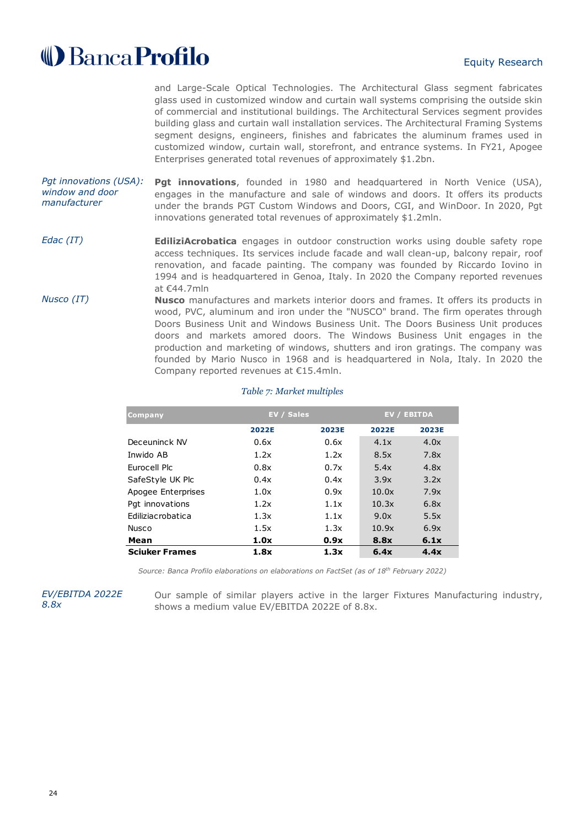### Equity Research

and Large-Scale Optical Technologies. The Architectural Glass segment fabricates glass used in customized window and curtain wall systems comprising the outside skin of commercial and institutional buildings. The Architectural Services segment provides building glass and curtain wall installation services. The Architectural Framing Systems segment designs, engineers, finishes and fabricates the aluminum frames used in customized window, curtain wall, storefront, and entrance systems. In FY21, Apogee Enterprises generated total revenues of approximately \$1.2bn.

- *Pgt innovations (USA): window and door manufacturer* **Pgt innovations**, founded in 1980 and headquartered in North Venice (USA), engages in the manufacture and sale of windows and doors. It offers its products under the brands PGT Custom Windows and Doors, CGI, and WinDoor. In 2020, Pgt innovations generated total revenues of approximately \$1.2mln.
- *Edac (IT)* **EdiliziAcrobatica** engages in outdoor construction works using double safety rope access techniques. Its services include facade and wall clean-up, balcony repair, roof renovation, and facade painting. The company was founded by Riccardo Iovino in 1994 and is headquartered in Genoa, Italy. In 2020 the Company reported revenues at €44.7mln
- *Nusco (IT)* **Nusco** manufactures and markets interior doors and frames. It offers its products in wood, PVC, aluminum and iron under the "NUSCO" brand. The firm operates through Doors Business Unit and Windows Business Unit. The Doors Business Unit produces doors and markets amored doors. The Windows Business Unit engages in the production and marketing of windows, shutters and iron gratings. The company was founded by Mario Nusco in 1968 and is headquartered in Nola, Italy. In 2020 the Company reported revenues at €15.4mln.

| Company               | <b>EV / Sales</b> |       | EV / EBITDA |       |  |
|-----------------------|-------------------|-------|-------------|-------|--|
|                       | 2022E             | 2023E | 2022E       | 2023E |  |
| Deceuninck NV         | 0.6x              | 0.6x  | 4.1x        | 4.0x  |  |
| Inwido AB             | 1.2x              | 1.2x  | 8.5x        | 7.8x  |  |
| Eurocell Plc          | 0.8x              | 0.7x  | 5.4x        | 4.8x  |  |
| SafeStyle UK Plc      | 0.4x              | 0.4x  | 3.9x        | 3.2x  |  |
| Apogee Enterprises    | 1.0x              | 0.9x  | 10.0x       | 7.9x  |  |
| Pgt innovations       | 1.2x              | 1.1x  | 10.3x       | 6.8x  |  |
| Ediliziacrobatica     | 1.3x              | 1.1x  | 9.0x        | 5.5x  |  |
| <b>Nusco</b>          | 1.5x              | 1.3x  | 10.9x       | 6.9x  |  |
| Mean                  | 1.0x              | 0.9x  | 8.8x        | 6.1x  |  |
| <b>Sciuker Frames</b> | 1.8x              | 1.3x  | 6.4x        | 4.4x  |  |

### *Table 7: Market multiples*

*Source: Banca Profilo elaborations on elaborations on FactSet (as of 18 th February 2022)*

### *EV/EBITDA 2022E 8.8x*

Our sample of similar players active in the larger Fixtures Manufacturing industry, shows a medium value EV/EBITDA 2022E of 8.8x.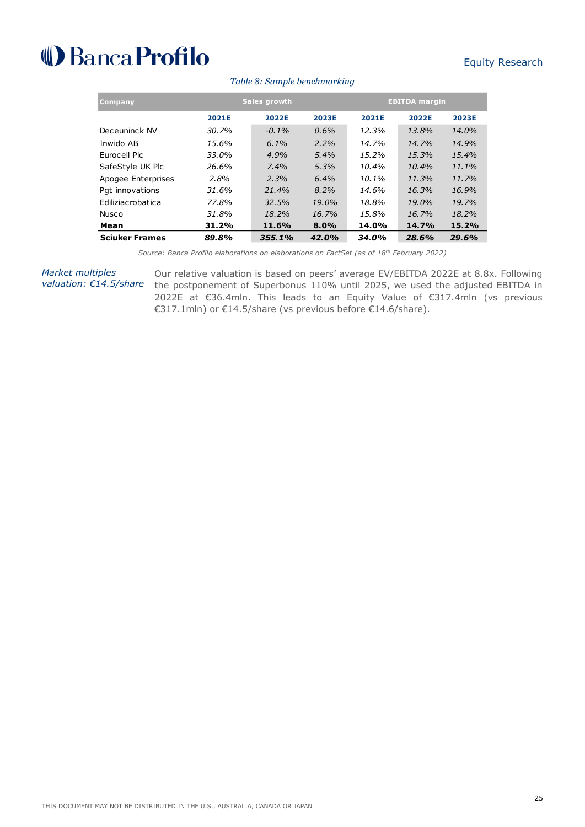# Equity Research

| <b>Company</b>        |       | Sales growth |         |       | <b>EBITDA</b> margin |       |
|-----------------------|-------|--------------|---------|-------|----------------------|-------|
|                       | 2021E | 2022E        | 2023E   | 2021E | 2022E                | 2023E |
| Deceuninck NV         | 30.7% | $-0.1\%$     | 0.6%    | 12.3% | 13.8%                | 14.0% |
| Inwido AB             | 15.6% | $6.1\%$      | 2.2%    | 14.7% | 14.7%                | 14.9% |
| Eurocell Plc          | 33.0% | 4.9%         | 5.4%    | 15.2% | 15.3%                | 15.4% |
| SafeStyle UK Plc      | 26.6% | 7.4%         | 5.3%    | 10.4% | 10.4%                | 11.1% |
| Apogee Enterprises    | 2.8%  | 2.3%         | 6.4%    | 10.1% | 11.3%                | 11.7% |
| Pqt innovations       | 31.6% | 21.4%        | $8.2\%$ | 14.6% | 16.3%                | 16.9% |
| Ediliziacrobatica     | 77.8% | 32.5%        | 19.0%   | 18.8% | 19.0%                | 19.7% |
| Nusco                 | 31.8% | 18.2%        | 16.7%   | 15.8% | 16.7%                | 18.2% |
| Mean                  | 31.2% | 11.6%        | 8.0%    | 14.0% | 14.7%                | 15.2% |
| <b>Sciuker Frames</b> | 89.8% | 355.1%       | 42.0%   | 34.0% | 28.6%                | 29.6% |

*Table 8: Sample benchmarking*

*Source: Banca Profilo elaborations on elaborations on FactSet (as of 18 th February 2022)*

*Market multiples* 

valuation: €14.5/share the postponement of Superbonus 110% until 2025, we used the adjusted EBITDA in Our relative valuation is based on peers' average EV/EBITDA 2022E at 8.8x. Following 2022E at €36.4mln. This leads to an Equity Value of €317.4mln (vs previous €317.1mln) or €14.5/share (vs previous before €14.6/share).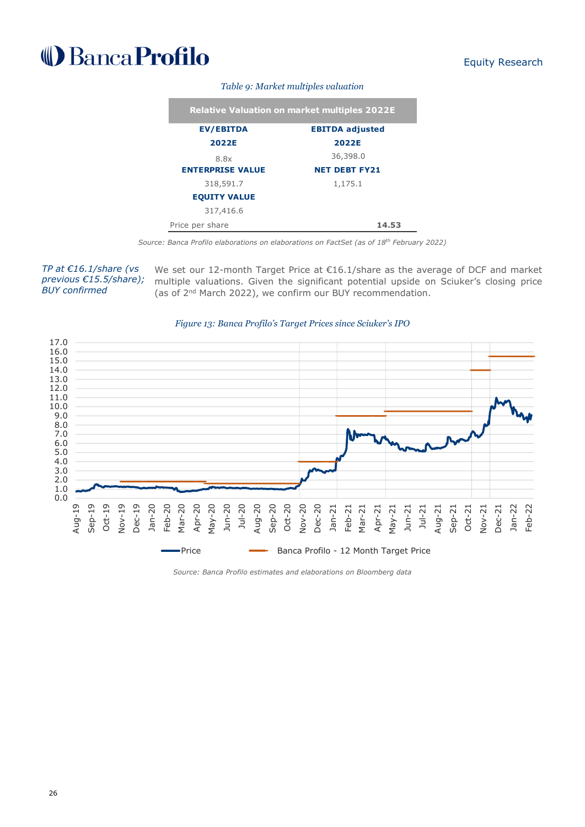# **<sup></sup> Banca Profilo**

|                         | <b>Relative Valuation on market multiples 2022E</b> |
|-------------------------|-----------------------------------------------------|
| <b>EV/EBITDA</b>        | <b>EBITDA adjusted</b>                              |
| 2022E                   | 2022E                                               |
| 8.8x                    | 36,398.0                                            |
| <b>ENTERPRISE VALUE</b> | <b>NET DEBT FY21</b>                                |
| 318,591.7               | 1,175.1                                             |
| <b>EQUITY VALUE</b>     |                                                     |
| 317,416.6               |                                                     |
| Price per share         | 14.53                                               |

*Table 9: Market multiples valuation*

*Source: Banca Profilo elaborations on elaborations on FactSet (as of 18 th February 2022)*

*TP at €16.1/share (vs previous €15.5/share); BUY confirmed*  We set our 12-month Target Price at €16.1/share as the average of DCF and market multiple valuations. Given the significant potential upside on Sciuker's closing price (as of 2<sup>nd</sup> March 2022), we confirm our BUY recommendation.





*Source: Banca Profilo estimates and elaborations on Bloomberg data*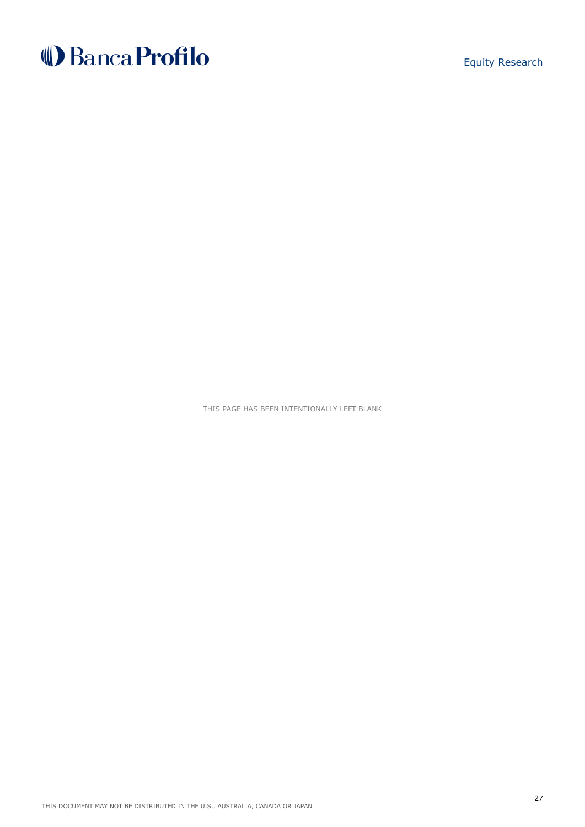THIS PAGE HAS BEEN INTENTIONALLY LEFT BLANK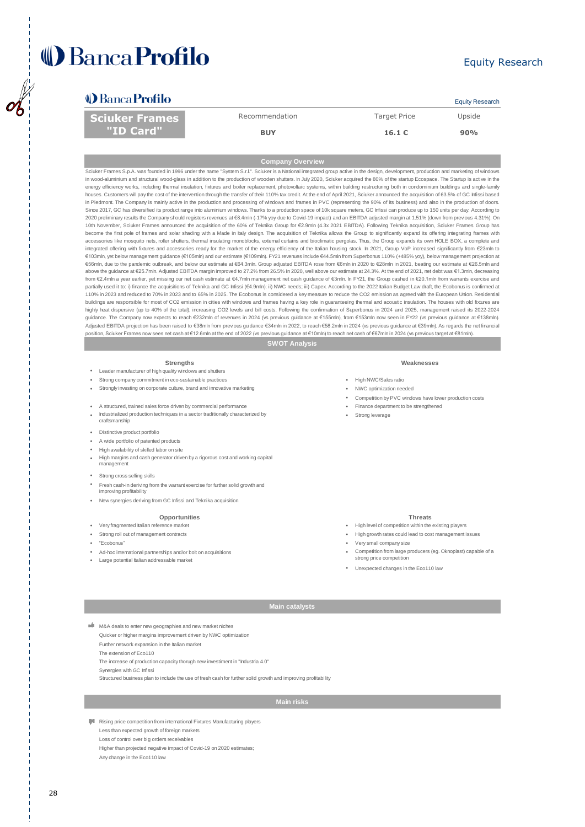# Equity Research

| <b>Banca Profilo</b> |                |                 | <b>Equity Research</b> |
|----------------------|----------------|-----------------|------------------------|
| Sciuker Frames       | Recommendation | Target Price    | Upside                 |
| "ID Card"            | <b>BUY</b>     | 16.1 $\epsilon$ | 90%                    |

#### **Company Overview**

Sciuker Frames S.p.A. was founded in 1996 under the name "System S.r.I.". Sciuker is a National integrated group active in the design, development, production and marketing of windows<br>in wood-aluminium and structural woodenergy efficiency works, including thermal insulation, fixtures and boiler replacement, photovoltaic systems, within building restructuring both in condominium buildings and single-family houses. Customers will pay the cost of the intervention through the transfer of their 110% tax credit. At the end of April 2021, Sciuker announced the acquisition of 63.5% of GC Infissi based in Piedmont. The Company is mainly active in the production and processing of windows and frames in PVC (representing the 90% of its business) and also in the production of doors. Since 2017, GC has diversified its product range into aluminium windows. Thanks to <sup>a</sup> production space of 10k square meters, GC Infissi can produce up to 150 units per day. According to 2020 preliminary results the Company should registers revenues at €8.4mln (-17% yoy due to Covid-19 impact) and an EBITDA adjusted margin at 1.51% (down from previous 4.31%). On 10th November, Sciuker Frames announced the acquisition of the 60% of Teknika Group for €2.9mln (4.3x 2021 EBITDA). Following Teknika acquisition, Sciuker Frames Group has become the first pole of frames and solar shading with a Made in Italy design. The acquisition of Teknika allows the Group to significantly expand its offering integrating frames with accessories like mosquito nets, roller shutters, thermal insulating monoblocks, external curtains and bioclimatic pergolas. Thus, the Group expands its own HOLE BOX, <sup>a</sup> complete and integrated offering with fixtures and accessories ready for the market of the energy efficiency of the Italian housing stock. In 2021, Group VoP increased significantly from €23mln to €103mln, yet below management guidance (€105mln) and our estimate (€109mln). FY21 revenues include €44.5mln from Superbonus 110% (+485% yoy), below management projection at €56mln, due to the pandemic outbreak, and below our estimate at €64.3mln. Group adjusted EBITDA rose from €6mln in 2020 to €28mln in 2021, beating our estimate at €26.5mln and above the guidance at €25.7mln. Adjusted EBITDA margin improved to 27.2% from 26.5% in 2020, well above our estimate at 24.3%. At the end of 2021, net debt was €1.3mln, decreasing from €2.4mln a year earlier, yet missing our net cash estimate at €4.7mln management net cash guidance of €3mln. In FY21, the Group cashed in €20.1mln from warrants exercise and partially used it to: i) finance the acquisitions of Teknika and GC Infissi (€4.9mln); ii) NWC needs; iii) Capex. According to the 2022 Italian Budget Law draft, the Ecobonus is confirmed at 110% in 2023 and reduced to 70% in 2023 and to 65% in 2025. The Ecobonus is considered a key measure to reduce the CO2 emission as agreed with the European Union. Residential buildings are responsible for most of CO2 emission in cities with windows and frames having a key role in guaranteeing thermal and acoustic insulation. The houses with old fixtures are highly heat dispersive (up to 40% of the total), increasing CO2 levels and bill costs. Following the confirmation of Superbonus in 2024 and 2025, management raised its 2022-2024<br>guidance. The Company now expects to reach Adjusted EBITDA projection has been raised to €38mln from previous guidance €34mln in 2022, to reach €58.2mln in 2024 (vs previous guidance at €39mln). As regards the net financial position, Sciuker Frames now sees net cash at €12.6mln at the end of 2022 (vs previous guidance at €10mln) to reach net cash of €67mln in 2024 (vs previous target at €81mln).

#### **Strengths Weaknesses**

- Leader manufacturer of high quality windows and shutters
- Strong company commitment in eco-sustainable practices example and the strong of the High NWC/Sales ratio
- Strongly investing on corporate culture, brand and innovative marketing NWC optimization needed
- 
- A structured, trained sales force driven by commercial performance **Finance A** structured be strengthened **Finance department to be strengthened**
- Industrialized production techniques in a sector traditionally characterized by craftsmanship
- Distinctive product portfolio
- $^{\circ}$ A wide portfolio of patented products
- $^{\circ}$ High availability of skilled labor on site
- $^{\circ}$ High margins and cash generator driven by a rigorous cost and working capital management
- 
- Strong cross selling skills
- $^{\circ}$ Fresh cash-in deriving from the warrant exercise for further solid growth and improving profitability
- New synergies deriving from GC Infissi and Teknika acquisition

#### **Opportunities Threats**

- Very fragmented Italian reference market • Strong roll out of management contracts
- 
- "Ecobonus"
- Ad-hoc international partnerships and/or bolt on acquisitions
- $^{\circ}$ Large potential Italian addressable market

- 
- 
- Competition by PVC windows have lower production costs
- 
- Strong leverage

- High level of competition within the existing players
- High growth rates could lead to cost management issues
	- Very small company size
- Competition from large producers (eg. Oknoplast) capable of a<br>strong price competition
- 
- Unexpected changes in the Eco110 law

### **Main catalysts**

M&A deals to enter new geographies and new market niches Quicker or higher margins improvement driven by NWC optimization

Further network expansion in the Italian market

The extension of Eco110

The increase of production capacity thorugh new investiment in "Industria 4.0"

Synergies with GC Infissi

Structured business plan to include the use of fresh cash for further solid growth and improving profitability

### **Main risks**

Rising price competition from international Fixtures Manufacturing players

Less than expected growth of foreign markets

Loss of control over big orders receivables

Higher than projected negative impact of Covid-19 on 2020 estimates;

Any change in the Eco110 law

# **SWOT Analysis**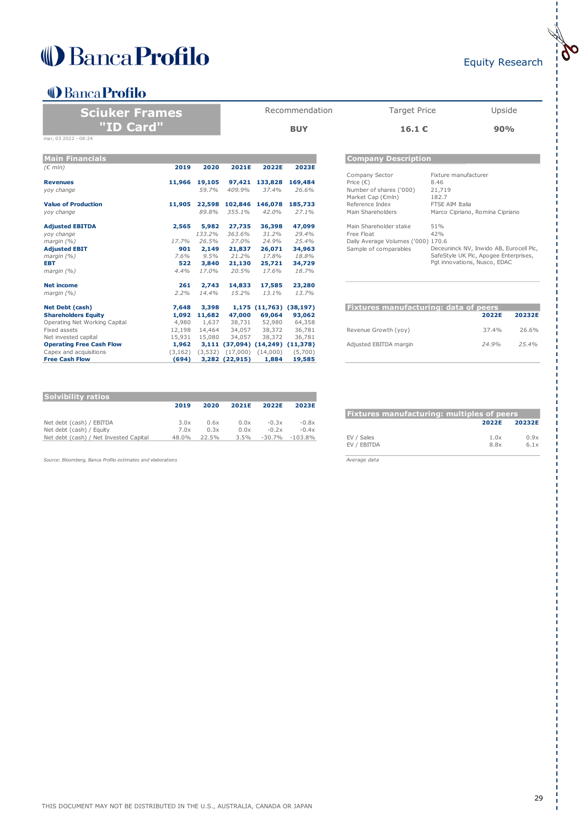# *<u>ID* Banca Profilo</u>

# **D**BancaProfilo

| <b>Sciuker Frames</b>           |          | Recommendation |                      | <b>Target Price</b> |                                  | Upside                                       |                                         |        |
|---------------------------------|----------|----------------|----------------------|---------------------|----------------------------------|----------------------------------------------|-----------------------------------------|--------|
| "ID Card"                       |          |                |                      |                     | <b>BUY</b>                       | 16.1 $\epsilon$                              | 90%                                     |        |
| mar, 03 2022 - 08:24            |          |                |                      |                     |                                  |                                              |                                         |        |
| <b>Main Financials</b>          |          |                |                      |                     |                                  | <b>Company Description</b>                   |                                         |        |
| $(\epsilon$ mln)                | 2019     | 2020           | 2021E                | 2022E               | 2023E                            |                                              |                                         |        |
| <b>Revenues</b>                 | 11,966   | 19,105         |                      | 97,421 133,828      | 169,484                          | Company Sector<br>Price $(\epsilon)$         | Fixture manufacturer<br>8.46            |        |
| yoy change                      |          | 59.7%          | 409.9%               | 37.4%               | 26.6%                            | Number of shares ('000)<br>Market Cap (€mln) | 21,719<br>182.7                         |        |
| <b>Value of Production</b>      | 11,905   |                | 22,598 102,846       | 146,078             | 185,733                          | Reference Index                              | FTSE AIM Italia                         |        |
| yoy change                      |          | 89.8%          | 355.1%               | 42.0%               | 27.1%                            | Main Shareholders                            | Marco Cipriano, Romina Cipriano         |        |
| <b>Adjusted EBITDA</b>          | 2,565    | 5,982          | 27,735               | 36,398              | 47,099                           | Main Shareholder stake                       | 51%                                     |        |
| yoy change                      |          | 133.2%         | 363.6%               | 31.2%               | 29.4%                            | Free Float                                   | 42%                                     |        |
| margin (%)                      | 17.7%    | 26.5%          | 27.0%                | 24.9%               | 25.4%                            | Daily Average Volumes ('000) 170.6           |                                         |        |
| <b>Adjusted EBIT</b>            | 901      | 2,149          | 21,837               | 26,071              | 34,963                           | Sample of comparables                        | Deceuninck NV, Inwido AB, Eurocell Plc, |        |
| margin (%)                      | 7.6%     | 9.5%           | 21.2%                | 17.8%               | 18.8%                            |                                              | SafeStyle UK Plc, Apogee Enterprises,   |        |
| <b>EBT</b>                      | 522      | 3,840          | 21,130               | 25,721              | 34,729                           |                                              | Pqt innovations, Nusco, EDAC            |        |
| margin (%)                      | 4.4%     | 17.0%          | 20.5%                | 17.6%               | 18.7%                            |                                              |                                         |        |
| <b>Net income</b>               | 261      | 2,743          | 14,833               | 17,585              | 23,280                           |                                              |                                         |        |
| margin (%)                      | 2.2%     | 14.4%          | 15.2%                | 13.1%               | 13.7%                            |                                              |                                         |        |
| Net Debt (cash)                 | 7,648    | 3,398          |                      |                     | 1,175 (11,763) (38,197)          | <b>Fixtures manufacturing: data of peers</b> |                                         |        |
| <b>Shareholders Equity</b>      | 1,092    | 11,682         | 47,000               | 69,064              | 93,062                           |                                              | 2022E                                   | 20232E |
| Operating Net Working Capital   | 4,980    | 1,637          | 38,731               | 52,980              | 64,358                           |                                              |                                         |        |
| Fixed assets                    | 12,198   | 14,464         | 34,057               | 38,372              | 36,781                           | Revenue Growth (yoy)                         | 37.4%                                   | 26.6%  |
| Net invested capital            | 15,931   | 15,080         | 34,057               | 38,372              | 36,781                           |                                              |                                         |        |
| <b>Operating Free Cash Flow</b> | 1,962    |                |                      |                     | 3,111 (37,094) (14,249) (11,378) | Adjusted EBITDA margin                       | 24.9%                                   | 25.4%  |
| Capex and acquisitions          | (3, 162) |                | $(3,532)$ $(17,000)$ | (14,000)            | (5,700)                          |                                              |                                         |        |
| <b>Free Cash Flow</b>           | (694)    |                | 3,282 (22,915)       | 1,884               | 19,585                           |                                              |                                         |        |

| <b>Solvibility ratios</b>              |       |       |       |         |                    |                                                   |      |        |
|----------------------------------------|-------|-------|-------|---------|--------------------|---------------------------------------------------|------|--------|
|                                        | 2019  | 2020  | 2021E | 2022E   | 2023E              |                                                   |      |        |
|                                        |       |       |       |         |                    | <b>Fixtures manufacturing: multiples of peers</b> |      |        |
| Net debt (cash) / EBITDA               | 3.0x  | 0.6x  | 0.0x  | $-0.3x$ | $-0.8x$            | 2022E                                             |      | 20232E |
| Net debt (cash) / Equity               | 7.0x  | 0.3x  | 0.0x  | $-0.2x$ | $-0.4x$            |                                                   |      |        |
| Net debt (cash) / Net Invested Capital | 48.0% | 22.5% | 3.5%  |         | $-30.7\% -103.8\%$ | EV / Sales                                        | 1.0x | 0.9x   |
|                                        |       |       |       |         |                    |                                                   |      |        |

| Source: Bloomberg, Banca Profilo estimates and elaborations |  |  |  |  |
|-------------------------------------------------------------|--|--|--|--|
|                                                             |  |  |  |  |

| <b>Fixtures manufacturing: multiples of peers</b> |              |              |  |  |  |
|---------------------------------------------------|--------------|--------------|--|--|--|
|                                                   |              | 2022E 20232E |  |  |  |
| EV / Sales<br>EV / EBITDA                         | 1.0x<br>8.8x | 0.9x<br>6.1x |  |  |  |

*Source: Bloomberg, Banca Profilo estimates and elaborations Average data*

# Equity Research

of